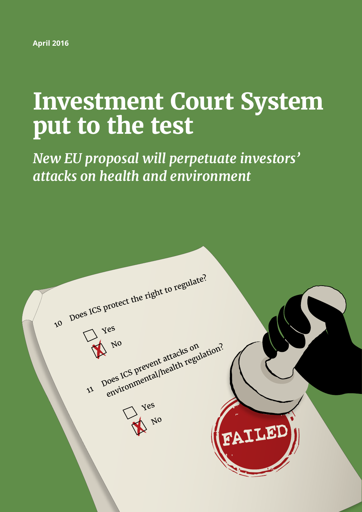**April 2016**

# **Investment Court System put to the test**

*New EU proposal will perpetuate investors' attacks on health and environment*

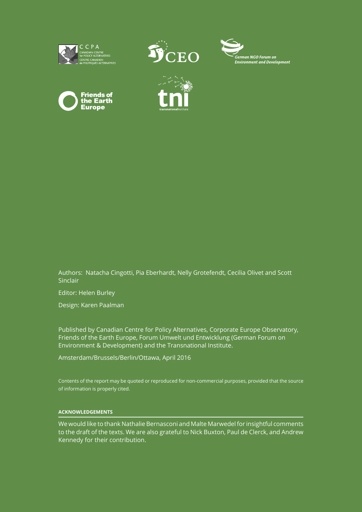









Authors: Natacha Cingotti, Pia Eberhardt, Nelly Grotefendt, Cecilia Olivet and Scott Sinclair

Editor: Helen Burley

Design: Karen Paalman

Published by Canadian Centre for Policy Alternatives, Corporate Europe Observatory, Friends of the Earth Europe, Forum Umwelt und Entwicklung (German Forum on Environment & Development) and the Transnational Institute.

Amsterdam/Brussels/Berlin/Ottawa, April 2016

Contents of the report may be quoted or reproduced for non-commercial purposes, provided that the source of information is properly cited.

#### **ACKNOWLEDGEMENTS**

We would like to thank Nathalie Bernasconi and Malte Marwedel for insightful comments to the draft of the texts. We are also grateful to Nick Buxton, Paul de Clerck, and Andrew Kennedy for their contribution.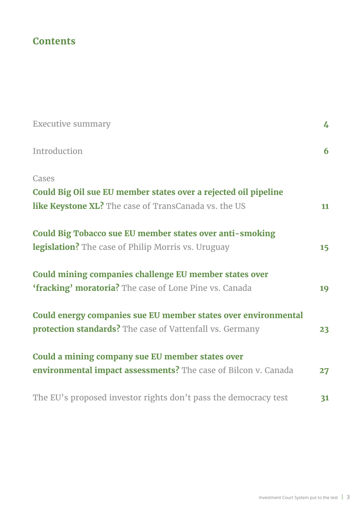# **Contents**

| <b>Executive summary</b>                                        | 4  |
|-----------------------------------------------------------------|----|
| Introduction                                                    | 6  |
| Cases                                                           |    |
| Could Big Oil sue EU member states over a rejected oil pipeline |    |
| like Keystone XL? The case of TransCanada vs. the US            | 11 |
| Could Big Tobacco sue EU member states over anti-smoking        |    |
| <b>legislation?</b> The case of Philip Morris vs. Uruguay       | 15 |
| Could mining companies challenge EU member states over          |    |
| 'fracking' moratoria? The case of Lone Pine vs. Canada          | 19 |
| Could energy companies sue EU member states over environmental  |    |
| <b>protection standards?</b> The case of Vattenfall vs. Germany | 23 |
| Could a mining company sue EU member states over                |    |
| environmental impact assessments? The case of Bilcon v. Canada  | 27 |
| The EU's proposed investor rights don't pass the democracy test | 31 |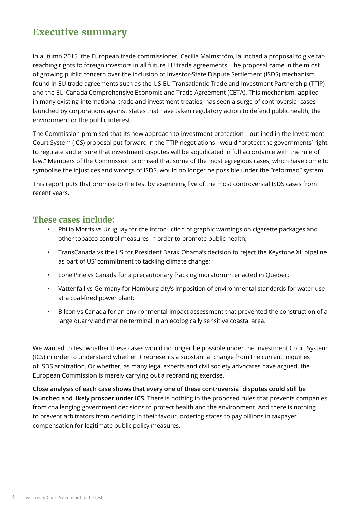# <span id="page-3-0"></span>**Executive summary**

In autumn 2015, the European trade commissioner, Cecilia Malmström, launched a proposal to give farreaching rights to foreign investors in all future EU trade agreements. The proposal came in the midst of growing public concern over the inclusion of Investor-State Dispute Settlement (ISDS) mechanism found in EU trade agreements such as the US-EU Transatlantic Trade and Investment Partnership (TTIP) and the EU-Canada Comprehensive Economic and Trade Agreement (CETA). This mechanism, applied in many existing international trade and investment treaties, has seen a surge of controversial cases launched by corporations against states that have taken regulatory action to defend public health, the environment or the public interest.

The Commission promised that its new approach to investment protection – outlined in the Investment Court System (ICS) proposal put forward in the TTIP negotiations - would "protect the governments' right to regulate and ensure that investment disputes will be adjudicated in full accordance with the rule of law." Members of the Commission promised that some of the most egregious cases, which have come to symbolise the injustices and wrongs of ISDS, would no longer be possible under the "reformed" system.

This report puts that promise to the test by examining five of the most controversial ISDS cases from recent years.

### **These cases include:**

- Philip Morris vs Uruguay for the introduction of graphic warnings on cigarette packages and other tobacco control measures in order to promote public health;
- TransCanada vs the US for President Barak Obama's decision to reject the Keystone XL pipeline as part of US' commitment to tackling climate change;
- Lone Pine vs Canada for a precautionary fracking moratorium enacted in Quebec;
- Vattenfall vs Germany for Hamburg city's imposition of environmental standards for water use at a coal-fired power plant;
- Bilcon vs Canada for an environmental impact assessment that prevented the construction of a large quarry and marine terminal in an ecologically sensitive coastal area.

We wanted to test whether these cases would no longer be possible under the Investment Court System (ICS) in order to understand whether it represents a substantial change from the current iniquities of ISDS arbitration. Or whether, as many legal experts and civil society advocates have argued, the European Commission is merely carrying out a rebranding exercise.

**Close analysis of each case shows that every one of these controversial disputes could still be launched and likely prosper under ICS.** There is nothing in the proposed rules that prevents companies from challenging government decisions to protect health and the environment. And there is nothing to prevent arbitrators from deciding in their favour, ordering states to pay billions in taxpayer compensation for legitimate public policy measures.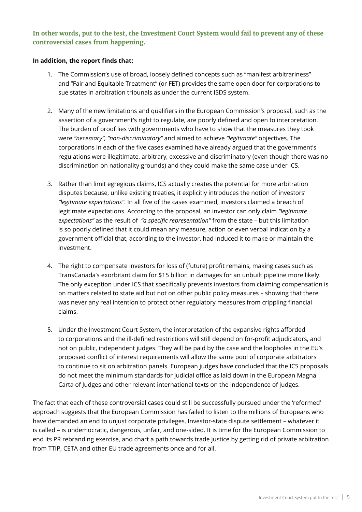### **In other words, put to the test, the Investment Court System would fail to prevent any of these controversial cases from happening.**

#### **In addition, the report finds that:**

- 1. The Commission's use of broad, loosely defined concepts such as "manifest arbitrariness" and "Fair and Equitable Treatment" (or FET) provides the same open door for corporations to sue states in arbitration tribunals as under the current ISDS system.
- 2. Many of the new limitations and qualifiers in the European Commission's proposal, such as the assertion of a government's right to regulate, are poorly defined and open to interpretation. The burden of proof lies with governments who have to show that the measures they took were *"necessary", "non-discriminatory"* and aimed to achieve *"legitimate"* objectives. The corporations in each of the five cases examined have already argued that the government's regulations were illegitimate, arbitrary, excessive and discriminatory (even though there was no discrimination on nationality grounds) and they could make the same case under ICS.
- 3. Rather than limit egregious claims, ICS actually creates the potential for more arbitration disputes because, unlike existing treaties, it explicitly introduces the notion of investors' *"legitimate expectations"*. In all five of the cases examined, investors claimed a breach of legitimate expectations. According to the proposal, an investor can only claim *"legitimate expectations"* as the result of *"a specific representation"* from the state – but this limitation is so poorly defined that it could mean any measure, action or even verbal indication by a government official that, according to the investor, had induced it to make or maintain the investment.
- 4. The right to compensate investors for loss of (future) profit remains, making cases such as TransCanada's exorbitant claim for \$15 billion in damages for an unbuilt pipeline more likely. The only exception under ICS that specifically prevents investors from claiming compensation is on matters related to state aid but not on other public policy measures – showing that there was never any real intention to protect other regulatory measures from crippling financial claims.
- 5. Under the Investment Court System, the interpretation of the expansive rights afforded to corporations and the ill-defined restrictions will still depend on for-profit adjudicators, and not on public, independent judges. They will be paid by the case and the loopholes in the EU's proposed conflict of interest requirements will allow the same pool of corporate arbitrators to continue to sit on arbitration panels. European judges have concluded that the ICS proposals do not meet the minimum standards for judicial office as laid down in the European Magna Carta of Judges and other relevant international texts on the independence of judges.

The fact that each of these controversial cases could still be successfully pursued under the 'reformed' approach suggests that the European Commission has failed to listen to the millions of Europeans who have demanded an end to unjust corporate privileges. Investor-state dispute settlement – whatever it is called – is undemocratic, dangerous, unfair, and one-sided. It is time for the European Commission to end its PR rebranding exercise, and chart a path towards trade justice by getting rid of private arbitration from TTIP, CETA and other EU trade agreements once and for all.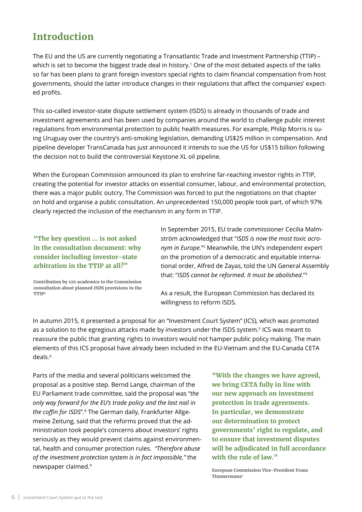# <span id="page-5-0"></span>**Introduction**

The EU and the US are currently negotiating a Transatlantic Trade and Investment Partnership (TTIP) – which is set to become the biggest trade deal in history.<sup>1</sup> One of the most debated aspects of the talks so far has been plans to grant foreign investors special rights to claim financial compensation from host governments, should the latter introduce changes in their regulations that affect the companies' expected profits.

This so-called investor-state dispute settlement system (ISDS) is already in thousands of trade and investment agreements and has been used by companies around the world to challenge public interest regulations from environmental protection to public health measures. For example, Philip Morris is suing Uruguay over the country's anti-smoking legislation, demanding US\$25 million in compensation. And pipeline developer TransCanada has just announced it intends to sue the US for US\$15 billion following the decision not to build the controversial Keystone XL oil pipeline.

When the European Commission announced its plan to enshrine far-reaching investor rights in TTIP, creating the potential for investor attacks on essential consumer, labour, and environmental protection, there was a major public outcry. The Commission was forced to put the negotiations on that chapter on hold and organise a public consultation. An unprecedented 150,000 people took part, of which 97% clearly rejected the inclusion of the mechanism in any form in TTIP.

**"The key question ... is not asked in the consultation document: why consider including investor-state arbitration in the TTIP at all?"**

**Contribution by 120 academics to the Commission consultation about planned ISDS provisions in the TTIP4**

In September 2015, EU trade commissioner Cecilia Malmström acknowledged that "*ISDS is now the most toxic acronym in Europe.*"2 Meanwhile, the UN's independent expert on the promotion of a democratic and equitable international order, Alfred de Zayas, told the UN General Assembly that: "*ISDS cannot be reformed. It must be abolished*."3

As a result, the European Commission has declared its willingness to reform ISDS.

In autumn 2015, it presented a proposal for an "Investment Court System" (ICS), which was promoted as a solution to the egregious attacks made by investors under the ISDS system.<sup>5</sup> ICS was meant to reassure the public that granting rights to investors would not hamper public policy making. The main elements of this ICS proposal have already been included in the EU-Vietnam and the EU-Canada CETA deals<sup>6</sup>

Parts of the media and several politicians welcomed the proposal as a positive step. Bernd Lange, chairman of the EU Parliament trade committee, said the proposal was "*the only way forward for the EU's trade policy and the last nail in the coffin for ISDS*".8 The German daily, Frankfurter Allgemeine Zeitung, said that the reforms proved that the administration took people's concerns about investors' rights seriously as they would prevent claims against environmental, health and consumer protection rules. *"Therefore abuse of the investment protection system is in fact impossible,"* the newspaper claimed.9

**"With the changes we have agreed, we bring CETA fully in line with our new approach on investment protection in trade agreements. In particular, we demonstrate our determination to protect governments' right to regulate, and to ensure that investment disputes will be adjudicated in full accordance with the rule of law."** 

**European Commission Vice-President Franz Timmermans7**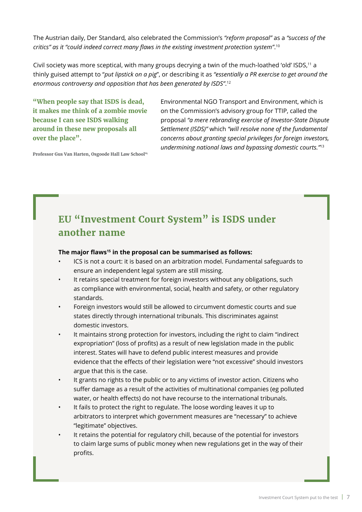The Austrian daily, Der Standard*,* also celebrated the Commission's *"reform proposal"* as a *"success of the critics" as it "could indeed correct many flaws in the existing investment protection system"*. 10

Civil society was more sceptical, with many groups decrying a twin of the much-loathed 'old' ISDS,<sup>11</sup> a thinly guised attempt to "*put lipstick on a pig*", or describing it as *"essentially a PR exercise to get around the enormous controversy and opposition that has been generated by ISDS"*. 12

**"When people say that ISDS is dead, it makes me think of a zombie movie because I can see ISDS walking around in these new proposals all over the place".**

Environmental NGO Transport and Environment, which is on the Commission's advisory group for TTIP, called the proposal *"a mere rebranding exercise of Investor-State Dispute Settlement (ISDS)"* which *"will resolve none of the fundamental concerns about granting special privileges for foreign investors, undermining national laws and bypassing domestic courts."*<sup>13</sup>

**Professor Gus Van Harten, Osgoode Hall Law School14**

# **EU "Investment Court System" is ISDS under another name**

#### **The major flaws<sup>15</sup> in the proposal can be summarised as follows:**

- ICS is not a court: it is based on an arbitration model. Fundamental safeguards to ensure an independent legal system are still missing.
- It retains special treatment for foreign investors without any obligations, such as compliance with environmental, social, health and safety, or other regulatory standards.
- Foreign investors would still be allowed to circumvent domestic courts and sue states directly through international tribunals. This discriminates against domestic investors.
- It maintains strong protection for investors, including the right to claim "indirect expropriation" (loss of profits) as a result of new legislation made in the public interest. States will have to defend public interest measures and provide evidence that the effects of their legislation were "not excessive" should investors argue that this is the case.
- It grants no rights to the public or to any victims of investor action. Citizens who suffer damage as a result of the activities of multinational companies (eg polluted water, or health effects) do not have recourse to the international tribunals.
- It fails to protect the right to regulate. The loose wording leaves it up to arbitrators to interpret which government measures are "necessary" to achieve "legitimate" objectives.
- It retains the potential for regulatory chill, because of the potential for investors to claim large sums of public money when new regulations get in the way of their profits.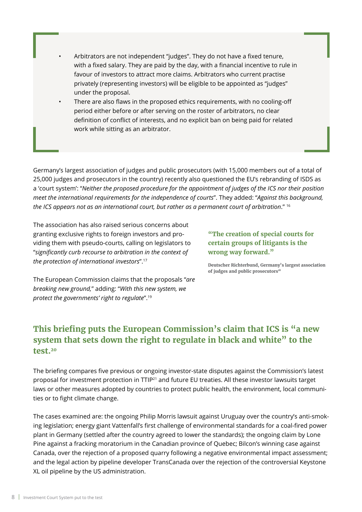- Arbitrators are not independent "judges". They do not have a fixed tenure, with a fixed salary. They are paid by the day, with a financial incentive to rule in favour of investors to attract more claims. Arbitrators who current practise privately (representing investors) will be eligible to be appointed as "judges" under the proposal.
- There are also flaws in the proposed ethics requirements, with no cooling-off period either before or after serving on the roster of arbitrators, no clear definition of conflict of interests, and no explicit ban on being paid for related work while sitting as an arbitrator.

Germany's largest association of judges and public prosecutors (with 15,000 members out of a total of 25,000 judges and prosecutors in the country) recently also questioned the EU's rebranding of ISDS as a 'court system': "*Neither the proposed procedure for the appointment of judges of the ICS nor their position meet the international requirements for the independence of courts*". They added: "*Against this background, the ICS appears not as an international court, but rather as a permanent court of arbitration*." 16

The association has also raised serious concerns about granting exclusive rights to foreign investors and providing them with pseudo-courts, calling on legislators to "*significantly curb recourse to arbitration in the context of the protection of international investors*".17

**"The creation of special courts for certain groups of litigants is the wrong way forward."**

**Deutscher Richterbund, Germany's largest association**  of judges and public prosecutors<sup>18</sup>

The European Commission claims that the proposals "*are breaking new ground,*" adding: "*With this new system, we protect the governments' right to regulate*".19

# **This briefing puts the European Commission's claim that ICS is "a new system that sets down the right to regulate in black and white" to the test.20**

The briefing compares five previous or ongoing investor-state disputes against the Commission's latest proposal for investment protection in TTIP21 and future EU treaties. All these investor lawsuits target laws or other measures adopted by countries to protect public health, the environment, local communities or to fight climate change.

The cases examined are: the ongoing Philip Morris lawsuit against Uruguay over the country's anti-smoking legislation; energy giant Vattenfall's first challenge of environmental standards for a coal-fired power plant in Germany (settled after the country agreed to lower the standards); the ongoing claim by Lone Pine against a fracking moratorium in the Canadian province of Quebec; Bilcon's winning case against Canada, over the rejection of a proposed quarry following a negative environmental impact assessment; and the legal action by pipeline developer TransCanada over the rejection of the controversial Keystone XL oil pipeline by the US administration.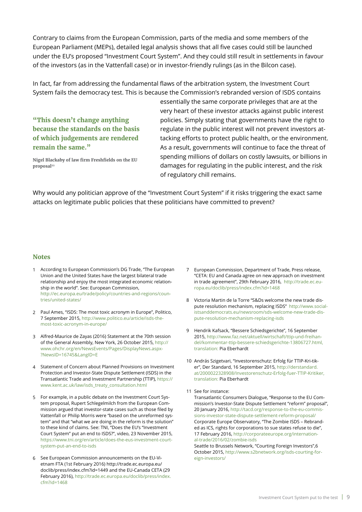Contrary to claims from the European Commission, parts of the media and some members of the European Parliament (MEPs), detailed legal analysis shows that all five cases could still be launched under the EU's proposed "Investment Court System". And they could still result in settlements in favour of the investors (as in the Vattenfall case) or in investor-friendly rulings (as in the Bilcon case).

In fact, far from addressing the fundamental flaws of the arbitration system, the Investment Court System fails the democracy test. This is because the Commission's rebranded version of ISDS contains

**"This doesn't change anything because the standards on the basis of which judgements are rendered remain the same."**

**Nigel Blackaby of law firm Freshfields on the EU proposal22**

essentially the same corporate privileges that are at the very heart of these investor attacks against public interest policies. Simply stating that governments have the right to regulate in the public interest will not prevent investors attacking efforts to protect public health, or the environment. As a result, governments will continue to face the threat of spending millions of dollars on costly lawsuits, or billions in damages for regulating in the public interest, and the risk of regulatory chill remains.

Why would any politician approve of the "Investment Court System" if it risks triggering the exact same attacks on legitimate public policies that these politicians have committed to prevent?

#### **Notes**

- According to European Commission's DG Trade, "The European 1 Union and the United States have the largest bilateral trade relationship and enjoy the most integrated economic relationship in the world". See: European Commission, [http://ec.europa.eu/trade/policy/countries-and-regions/coun](http://ec.europa.eu/trade/policy/countries-and-regions/countries/united-states/)[tries/united](http://ec.europa.eu/trade/policy/countries-and-regions/countries/united-states/)-states/
- Paul Ames, "ISDS: The most toxic acronym in Europe", Politico, 2 7 September 2015, [http://www.politico.eu/article/isds-the](http://www.politico.eu/article/isds-the-most-toxic-acronym-in-europe/)[most-toxic-acronym-in-europe/](http://www.politico.eu/article/isds-the-most-toxic-acronym-in-europe/)
- Alfred-Maurice de Zayas (2016) Statement at the 70th session 3 of the General Assembly, New York, 26 October 2015, [http://](http://www.ohchr.org/en/NewsEvents/Pages/DisplayNews.aspx?NewsID=16745&LangID=E) [www.ohchr.org/en/NewsEvents/Pages/DisplayNews.aspx-](http://www.ohchr.org/en/NewsEvents/Pages/DisplayNews.aspx?NewsID=16745&LangID=E) [?NewsID=16745&LangID=E](http://www.ohchr.org/en/NewsEvents/Pages/DisplayNews.aspx?NewsID=16745&LangID=E)
- 4 Statement of Concern about Planned Provisions on Investment Protection and Investor-State Dispute Settlement (ISDS) in the Transatlantic Trade and Investment Partnership (TTIP), [https://](https://www.kent.ac.uk/law/isds_treaty_consultation.html) [www.kent.ac.uk/law/isds\\_treaty\\_consultation.html](https://www.kent.ac.uk/law/isds_treaty_consultation.html)
- For example, in a public debate on the Investment Court Sys-5 tem proposal, Rupert Schlegelmilch from the European Commission argued that investor-state cases such as those filed by Vattenfall or Philip Morris were "based on the unreformed system" and that "what we are doing in the reform is the solution" to these kind of claims. See: TNI, "Does the EU's "Investment Court System" put an end to ISDS?", video, 23 November 2015, [https://www.tni.org/en/article/does-the-eus-investment-court](https://www.tni.org/en/article/does-the-eus-investment-court-system-put-an-end-to-isds)[system-put-an-end-to-isds](https://www.tni.org/en/article/does-the-eus-investment-court-system-put-an-end-to-isds)
- 6 See European Commission announcements on the EU-Vietnam FTA (1st February 2016) [http://trade.ec.europa.eu/](http://trade.ec.europa.eu/doclib/press/index.cfm?id=1449) [doclib/press/index.cfm?id=1449](http://trade.ec.europa.eu/doclib/press/index.cfm?id=1449) and the EU-Canada CETA (29 February 2016), [http://trade.ec.europa.eu/doclib/press/index.](http://trade.ec.europa.eu/doclib/press/index.cfm?id=1468) [cfm?id=1468](http://trade.ec.europa.eu/doclib/press/index.cfm?id=1468)
- European Commission, Department of Trade, Press release, 7 "CETA: EU and Canada agree on new approach on investment in trade agreement", 29th February 2016, [http://trade.ec.eu](http://trade.ec.europa.eu/doclib/press/index.cfm?id=1468)[ropa.eu/doclib/press/index.cfm?id=1468](http://trade.ec.europa.eu/doclib/press/index.cfm?id=1468)
- Victoria Martin de la Torre "S&Ds welcome the new trade dis-8 pute resolution mechanism, replacing ISDS" [http://www.social](http://www.socialistsanddemocrats.eu/newsroom/sds-welcome-new-trade-dispute-resolution-mechanism-replacing-isds
)[istsanddemocrats.eu/newsroom/sds](http://www.socialistsanddemocrats.eu/newsroom/sds-welcome-new-trade-dispute-resolution-mechanism-replacing-isds
)-welcome-new-trade-dispute-resolution-mechanism-replacing-isds
- Hendrik Kafsack, "Bessere Schiedsgerichte", 16 September 9 2015, [http://www.faz.net/aktuell/wirtschaft/ttip-und-freihan](http://www.faz.net/aktuell/wirtschaft/ttip-und-freihandel/kommentar-ttip-bessere-schiedsgerichte-13806727.html)[del/kommentar-ttip-bessere-schiedsgerichte-13806727.html,](http://www.faz.net/aktuell/wirtschaft/ttip-und-freihandel/kommentar-ttip-bessere-schiedsgerichte-13806727.html) translation: Pia Eberhardt
- 10 András Szigetvari, "Investorenschutz: Erfolg für TTIP-Kri-tiker", Der Standard, 16 September 2015, [http://derstandard.](http://derstandard.at/2000022328908/Investorenschutz-Erfolg-fuer-TTIP-Kritiker) [at/2000022328908/Investorenschutz-Erfolg-fuer-TTIP-Kritiker,](http://derstandard.at/2000022328908/Investorenschutz-Erfolg-fuer-TTIP-Kritiker) translation: Pia Eberhardt
- 11 See for instance:

Transatlantic Consumers Dialogue, "Response to the EU Commission's Investor-State Dispute Settlement "reform" proposal", 20 January 2016, [http://tacd.org/response-to-the-eu-commis](http://tacd.org/response-to-the-eu-commissions-investor-state-dispute-settlement-reform-proposal/)[sions-investor-state-dispute-settlement-reform-proposal/](http://tacd.org/response-to-the-eu-commissions-investor-state-dispute-settlement-reform-proposal/) Corporate Europe Observatory, "The Zombie ISDS – Rebranded as ICS, rights for corporations to sue states refuse to die", 17 February 2016, [http://corporateeurope.org/internation](http://corporateeurope.org/international-trade/2016/02/zombie)[al-trade/2016/02/zombie](http://corporateeurope.org/international-trade/2016/02/zombie)-isds

Seattle to Brussels Network, "Courting Foreign Investors",6 October 2015, [http://www.s2bnetwork.org/isds-](http://www.s2bnetwork.org/isds)courting-foreign-investors/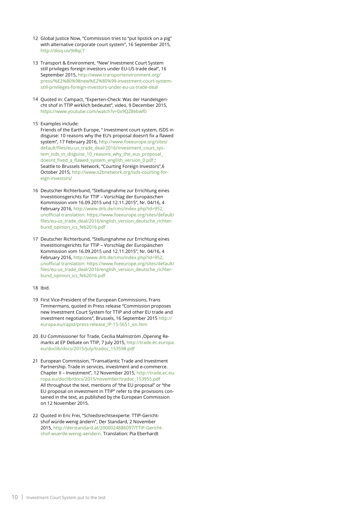- 12 Global Justice Now, "Commission tries to "put lipstick on a pig" with alternative corporate court system", 16 September 2015, <http://disq.us/9i8qc7>
- 13 Transport & Environment, "New' Investment Court System still privileges foreign investors under EU-US trade deal", 16 September 2015, [http://www.transportenvironment.org/](http://www.transportenvironment.org/press/%E2%80%98new%E2%80%99-investment-court-system-still-privileges-foreign-investors-under-eu-us-trade-deal) [press/%E2%80%98new%E2%80%99-investment-court-system](http://www.transportenvironment.org/press/%E2%80%98new%E2%80%99-investment-court-system-still-privileges-foreign-investors-under-eu-us-trade-deal)[still-privileges-foreign-investors-under-eu-us-trade-deal](http://www.transportenvironment.org/press/%E2%80%98new%E2%80%99-investment-court-system-still-privileges-foreign-investors-under-eu-us-trade-deal)
- 14 Quoted in: Campact, "Experten-Check: Was der Handelsgericht shof in TTIP wirklich bedeutet", video, 9 December 2015, <https://www.youtube.com/watch?v=0x9QZ8ebwf0>

#### 15 Examples include:

Friends of the Earth Europe, " Investment court system, ISDS in disguise: 10 reasons why the EU's proposal doesn't fix a flawed system", 17 February 2016, [http://www.foeeurope.org/sites/](http://www.foeeurope.org/sites/default/files/eu-us_trade_deal/2016/investment_court_system_isds_in_disguise_10_reasons_why_the_eus_proposal_doesnt_fixed_a_flawed_system_english_version_0.pdf) [default/files/eu-us\\_trade\\_deal/2016/investment\\_court\\_sys](http://www.foeeurope.org/sites/default/files/eu-us_trade_deal/2016/investment_court_system_isds_in_disguise_10_reasons_why_the_eus_proposal_doesnt_fixed_a_flawed_system_english_version_0.pdf)[tem\\_isds\\_in\\_disguise\\_10\\_reasons\\_why\\_the\\_eus\\_proposal\\_](http://www.foeeurope.org/sites/default/files/eu-us_trade_deal/2016/investment_court_system_isds_in_disguise_10_reasons_why_the_eus_proposal_doesnt_fixed_a_flawed_system_english_version_0.pdf)  [doesnt\\_fixed\\_a\\_flawed\\_system\\_english\\_version\\_0.pdf](http://www.foeeurope.org/sites/default/files/eu-us_trade_deal/2016/investment_court_system_isds_in_disguise_10_reasons_why_the_eus_proposal_doesnt_fixed_a_flawed_system_english_version_0.pdf) ; Seattle to Brussels Network, "Courting Foreign Investors",6 October 2015, [http://www.s2bnetwork.org/isds-courting-for](http://www.s2bnetwork.org/isds-courting-foreign-investors/)[eign-investors/](http://www.s2bnetwork.org/isds-courting-foreign-investors/) 

- 16 Deutscher Richterbund, "Stellungnahme zur Errichtung eines Investitionsgerichts für TTIP – Vorschlag der Europäischen Kommission vom 16.09.2015 und 12.11.2015", Nr. 04/16, 4 February 2016,<http://www.drb.de/cms/index.php?id=952>, unofficial translation: [https://www.foeeurope.org/sites/default/](https://www.foeeurope.org/sites/default/files/eu-us_trade_deal/2016/english_version_deutsche_richterbund_opinion_ics_feb2016.pdf) [files/eu-us\\_trade\\_deal/2016/english\\_version\\_deutsche\\_richter](https://www.foeeurope.org/sites/default/files/eu-us_trade_deal/2016/english_version_deutsche_richterbund_opinion_ics_feb2016.pdf)[bund\\_opinion\\_ics\\_feb2016.pdf](https://www.foeeurope.org/sites/default/files/eu-us_trade_deal/2016/english_version_deutsche_richterbund_opinion_ics_feb2016.pdf)
- 17 Deutscher Richterbund, "Stellungnahme zur Errichtung eines Investitionsgerichts für TTIP – Vorschlag der Europäischen Kommission vom 16.09.2015 und 12.11.2015", Nr. 04/16, 4 February 2016,<http://www.drb.de/cms/index.php?id=952>, unofficial translation: [https://www.foeeurope.org/sites/default/](https://www.foeeurope.org/sites/default/files/eu-us_trade_deal/2016/english_version_deutsche_richterbund_opinion_ics_feb2016.pdf) [files/eu-us\\_trade\\_deal/2016/english\\_version\\_deutsche\\_richter](https://www.foeeurope.org/sites/default/files/eu-us_trade_deal/2016/english_version_deutsche_richterbund_opinion_ics_feb2016.pdf)[bund\\_opinion\\_ics\\_feb2016.pdf](https://www.foeeurope.org/sites/default/files/eu-us_trade_deal/2016/english_version_deutsche_richterbund_opinion_ics_feb2016.pdf)
- 18 Ibid.
- 19 First Vice-President of the European Commissions, Frans Timmermans, quoted in Press release "Commission proposes new Investment Court System for TTIP and other EU trade and investment negotiations", Brussels, 16 September 2015 [http://](http://europa.eu/rapid/press-release_IP-15-5651_en.htm) [europa.eu/rapid/press-release\\_IP-15-5651\\_en.htm](http://europa.eu/rapid/press-release_IP-15-5651_en.htm)
- 20 EU Commissioner for Trade, Cecilia Malmström, Opening Remarks at EP Debate on TTIP, 7 July 2015, [http://trade.ec.europa.](http://trade.ec.europa.eu/doclib/docs/2015/july/tradoc_153598.pdf) [eu/doclib/docs/2015/july/tradoc\\_153598.pdf](http://trade.ec.europa.eu/doclib/docs/2015/july/tradoc_153598.pdf)
- 21 European Commission, "Transatlantic Trade and Investment Partnership. Trade in services, investment and e-commerce. Chapter II – Investment", 12 November 2015, [http://trade.ec.eu](http://trade.ec.europa.eu/doclib/docs/2015/november/tradoc_153955.pdf)[ropa.eu/doclib/docs/2015/november/tradoc\\_153955.pdf](http://trade.ec.europa.eu/doclib/docs/2015/november/tradoc_153955.pdf)  All throughout the text, mentions of "the EU proposal" or "the EU proposal on investment in TTIP" refer to the provisions contained in the text, as published by the European Commission on 12 November 2015.
- 22 Quoted in Eric Frei, "Schiedsrechtsexperte: TTIP-Gerichtshof würde wenig ändern", Der Standard, 2 November 2015, [http://derstandard.at/2000024886097/TTIP-Gericht](http://derstandard.at/2000024886097/TTIP-Gerichtshof-wuerde-wenig-aendern)[shof-wuerde-wenig-aendern.](http://derstandard.at/2000024886097/TTIP-Gerichtshof-wuerde-wenig-aendern) Translation: Pia Eberhardt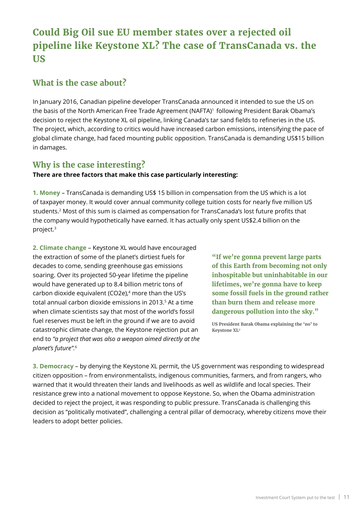# <span id="page-10-0"></span>**Could Big Oil sue EU member states over a rejected oil pipeline like Keystone XL? The case of TransCanada vs. the US**

### **What is the case about?**

In January 2016, Canadian pipeline developer TransCanada announced it intended to sue the US on the basis of the North American Free Trade Agreement (NAFTA)<sup>1</sup> following President Barak Obama's decision to reject the Keystone XL oil pipeline, linking Canada's tar sand fields to refineries in the US. The project, which, according to critics would have increased carbon emissions, intensifying the pace of global climate change, had faced mounting public opposition. TransCanada is demanding US\$15 billion in damages.

# **Why is the case interesting?**

### **There are three factors that make this case particularly interesting:**

**1. Money** – TransCanada is demanding US\$ 15 billion in compensation from the US which is a lot of taxpayer money. It would cover annual community college tuition costs for nearly five million US students.2 Most of this sum is claimed as compensation for TransCanada's lost future profits that the company would hypothetically have earned. It has actually only spent US\$2.4 billion on the project.3

**2. Climate change** – Keystone XL would have encouraged the extraction of some of the planet's dirtiest fuels for decades to come, sending greenhouse gas emissions soaring. Over its projected 50-year lifetime the pipeline would have generated up to 8.4 billion metric tons of carbon dioxide equivalent (CO2e),<sup>4</sup> more than the US's total annual carbon dioxide emissions in 2013.<sup>5</sup> At a time when climate scientists say that most of the world's fossil fuel reserves must be left in the ground if we are to avoid catastrophic climate change, the Keystone rejection put an end to *"a project that was also a weapon aimed directly at the planet's future".*<sup>6</sup>

**"If we're gonna prevent large parts of this Earth from becoming not only inhospitable but uninhabitable in our lifetimes, we're gonna have to keep some fossil fuels in the ground rather than burn them and release more dangerous pollution into the sky."**

**US President Barak Obama explaining the 'no' to Keystone XL7**

**3. Democracy** – by denying the Keystone XL permit, the US government was responding to widespread citizen opposition – from environmentalists, indigenous communities, farmers, and from rangers, who warned that it would threaten their lands and livelihoods as well as wildlife and local species. Their resistance grew into a national movement to oppose Keystone. So, when the Obama administration decided to reject the project, it was responding to public pressure. TransCanada is challenging this decision as "politically motivated", challenging a central pillar of democracy, whereby citizens move their leaders to adopt better policies.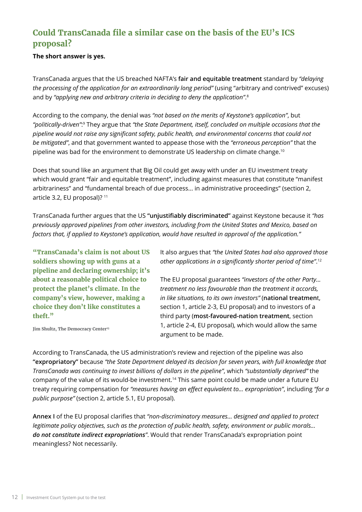# **Could TransCanada file a similar case on the basis of the EU's ICS proposal?**

**The short answer is yes.**

TransCanada argues that the US breached NAFTA's **fair and equitable treatment** standard by *"delaying the processing of the application for an extraordinarily long period"* (using "arbitrary and contrived" excuses) and by *"applying new and arbitrary criteria in deciding to deny the application"*. 8

According to the company, the denial was *"not based on the merits of Keystone's application"*, but *"politically-driven"*: 9 They argue that *"the State Department, itself, concluded on multiple occasions that the pipeline would not raise any significant safety, public health, and environmental concerns that could not be mitigated"*, and that government wanted to appease those with the *"erroneous perception"* that the pipeline was bad for the environment to demonstrate US leadership on climate change.10

Does that sound like an argument that Big Oil could get away with under an EU investment treaty which would grant "fair and equitable treatment", including against measures that constitute "manifest arbitrariness" and "fundamental breach of due process... in administrative proceedings" (section 2, article 3.2, EU proposal)? 11

TransCanada further argues that the US **"unjustifiably discriminated"** against Keystone because it *"has previously approved pipelines from other investors, including from the United States and Mexico, based on factors that, if applied to Keystone's application, would have resulted in approval of the application."* 

**"TransCanada's claim is not about US soldiers showing up with guns at a pipeline and declaring ownership; it's about a reasonable political choice to protect the planet's climate. In the company's view, however, making a choice they don't like constitutes a theft."**

It also argues that *"the United States had also approved those other applications in a significantly shorter period of time"*. 12

The EU proposal guarantees *"investors of the other Party... treatment no less favourable than the treatment it accords, in like situations, to its own investors"* (**national treatmen**t, section 1, article 2-3, EU proposal) and to investors of a third party (**most-favoured-nation treatment**, section 1, article 2-4, EU proposal), which would allow the same argument to be made.

**Jim Shultz, The Democracy Center**<sup>13</sup>

According to TransCanada, the US administration's review and rejection of the pipeline was also **"expropriatory"** because *"the State Department delayed its decision for seven years, with full knowledge that TransCanada was continuing to invest billions of dollars in the pipeline"*, which *"substantially deprived"* the company of the value of its would-be investment.14 This same point could be made under a future EU treaty requiring compensation for *"measures having an effect equivalent to... expropriation"*, including *"for a public purpose"* (section 2, article 5.1, EU proposal).

**Annex I** of the EU proposal clarifies that *"non-discriminatory measures... designed and applied to protect legitimate policy objectives, such as the protection of public health, safety, environment or public morals... do not constitute indirect expropriations"*. Would that render TransCanada's expropriation point meaningless? Not necessarily.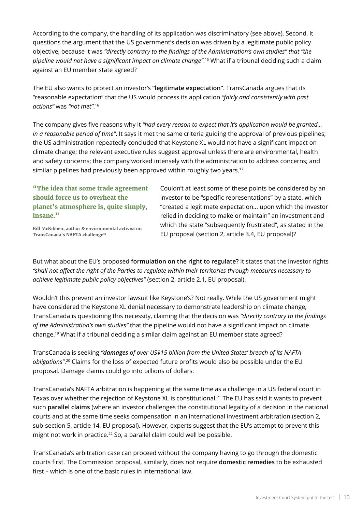According to the company, the handling of its application was discriminatory (see above). Second, it questions the argument that the US government's decision was driven by a legitimate public policy objective, because it was *"directly contrary to the findings of the Administration's own studies" that "the pipeline would not have a significant impact on climate change"*. 15 What if a tribunal deciding such a claim against an EU member state agreed?

The EU also wants to protect an investor's **"legitimate expectation"**. TransCanada argues that its "reasonable expectation" that the US would process its application *"fairly and consistently with past actions"* was *"not met"*. 16

The company gives five reasons why it *"had every reason to expect that it's application would be granted... in a reasonable period of time"*. It says it met the same criteria guiding the approval of previous pipelines; the US administration repeatedly concluded that Keystone XL would not have a significant impact on climate change; the relevant executive rules suggest approval unless there are environmental, health and safety concerns; the company worked intensely with the administration to address concerns; and similar pipelines had previously been approved within roughly two years.<sup>17</sup>

**"The idea that some trade agreement should force us to overheat the planet's atmosphere is, quite simply, insane."**

Couldn't at least some of these points be considered by an investor to be "specific representations" by a state, which "created a legitimate expectation... upon which the investor relied in deciding to make or maintain" an investment and which the state "subsequently frustrated", as stated in the EU proposal (section 2, article 3.4, EU proposal)?

**Bill McKibben, author & environmental activist on TransCanada's NAFTA challenge18**

But what about the EU's proposed **formulation on the right to regulate?** It states that the investor rights *"shall not affect the right of the Parties to regulate within their territories through measures necessary to achieve legitimate public policy objectives"* (section 2, article 2.1, EU proposal).

Wouldn't this prevent an investor lawsuit like Keystone's? Not really. While the US government might have considered the Keystone XL denial necessary to demonstrate leadership on climate change, TransCanada is questioning this necessity, claiming that the decision was *"directly contrary to the findings of the Administration's own studies"* that the pipeline would not have a significant impact on climate change.19 What if a tribunal deciding a similar claim against an EU member state agreed?

TransCanada is seeking *"damages of over US\$15 billion from the United States' breach of its NAFTA obligations"*. <sup>20</sup> Claims for the loss of expected future profits would also be possible under the EU proposal. Damage claims could go into billions of dollars.

TransCanada's NAFTA arbitration is happening at the same time as a challenge in a US federal court in Texas over whether the rejection of Keystone XL is constitutional.<sup>21</sup> The EU has said it wants to prevent such **parallel claims** (where an investor challenges the constitutional legality of a decision in the national courts and at the same time seeks compensation in an international investment arbitration (section 2, sub-section 5, article 14, EU proposal). However, experts suggest that the EU's attempt to prevent this might not work in practice.<sup>22</sup> So, a parallel claim could well be possible.

TransCanada's arbitration case can proceed without the company having to go through the domestic courts first. The Commission proposal, similarly, does not require **domestic remedies** to be exhausted first – which is one of the basic rules in international law.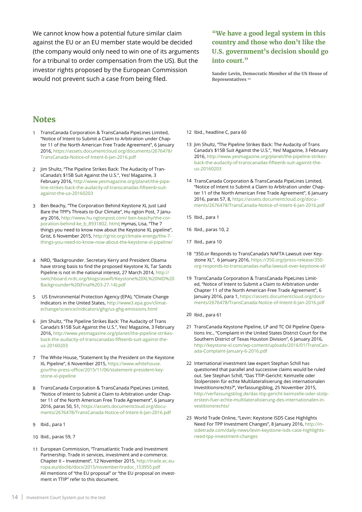We cannot know how a potential future similar claim against the EU or an EU member state would be decided (the company would only need to win one of its arguments for a tribunal to order compensation from the US). But the investor rights proposed by the European Commission would not prevent such a case from being filed.

**"We have a good legal system in this country and those who don't like the U.S. government's decision should go into court."**

**Sander Levin, Democratic Member of the US House of Representatives 23**

### **Notes**

- 1 TransCanada Corporation & TransCanada PipeLines Limited, "Notice of Intent to Submit a Claim to Arbitration under Chapter 11 of the North American Free Trade Agreement", 6 January 2016, [https://assets.documentcloud.org/documents/2676478/](https://assets.documentcloud.org/documents/2676478/TransCanada-Notice-of-Intent-6-Jan-2016.pdf) [TransCanada-Notice-of-Intent-6-Jan-2016.pdf](https://assets.documentcloud.org/documents/2676478/TransCanada-Notice-of-Intent-6-Jan-2016.pdf)
- 2 Jim Shultz, "The Pipeline Strikes Back: The Audacity of TransCanada's \$15B Suit Against the U.S.", Yes! Magazine, 3 February 2016, [http://www.yesmagazine.org/planet/the-pipe](http://www.yesmagazine.org/planet/the-pipeline-strikes-back-the-audacity-of-transcanadas-fifteenb-suit-against-the-us-20160203)[line-strikes-back-the-audacity-of-transcanadas-fifteenb-suit](http://www.yesmagazine.org/planet/the-pipeline-strikes-back-the-audacity-of-transcanadas-fifteenb-suit-against-the-us-20160203)[against-the-us-20160203](http://www.yesmagazine.org/planet/the-pipeline-strikes-back-the-audacity-of-transcanadas-fifteenb-suit-against-the-us-20160203)
- 3 Ben Beachy, "The Corporation Behind Keystone XL Just Laid Bare the TPP's Threats to Our Climate", Hu ngton Post, 7 January 2016, [http://www.hu](http://www.huffingtonpost.com/ben-beachy/the-corporation-behind-ke_b_8931802.html) ngtonpost.com/ ben-beachy/the-corporation-behind-ke\_b\_8931802. html; Hymas, Lisa, "The 7 things you need to know now about the Keystone XL pipeline", Grist, 6 November 2015, [http://grist.org/climate-energy/the-7](http://grist.org/climate-energy/the-7-things-you-need-to-know-now-about-the-keystone-xl-pipeline/) [things-you-need-to-know-now-about-the-keystone-xl-pipeline/](http://grist.org/climate-energy/the-7-things-you-need-to-know-now-about-the-keystone-xl-pipeline/)
- NRD, "Backgrounder. Secretary Kerry and President Obama 4 have strong basis to find the proposed Keystone XL Tar Sands Pipeline is not in the national interest, 27 March 2014, [http://](http://switchboard.nrdc.org/blogs/aswift/Keystone%20XL%20NID%20Backgrounder%20(Final%203-27-14).pdf) [switchboard.nrdc.org/blogs/aswift/Keystone%20XL%20NID%20](http://switchboard.nrdc.org/blogs/aswift/Keystone%20XL%20NID%20Backgrounder%20(Final%203-27-14).pdf) [Backgrounder%20\(Final%203-27-14\).pdf](http://switchboard.nrdc.org/blogs/aswift/Keystone%20XL%20NID%20Backgrounder%20(Final%203-27-14).pdf)
- US Environmental Protection Agency (EPA), "Climate Change Indicators in the United States, [http://www3.epa.gov/climat](http://www3.epa.gov/climatechange/science/indicators/ghg/us-ghg-emissions.html)[echange/science/indicators/ghg/us-ghg-emissions.html](http://www3.epa.gov/climatechange/science/indicators/ghg/us-ghg-emissions.html) 5
- Jim Shultz, "The Pipeline Strikes Back: The Audacity of Trans 6 Canada's \$15B Suit Against the U.S.", Yes! Magazine, 3 February 2016, [http://www.yesmagazine.org/planet/the-pipeline-strikes](http://www.yesmagazine.org/planet/the-pipeline-strikes-back-the-audacity-of-transcanadas-fifteenb-suit-against-the-us-20160203)[back-the-audacity-of-transcanadas-fifteenb-suit-against-the](http://www.yesmagazine.org/planet/the-pipeline-strikes-back-the-audacity-of-transcanadas-fifteenb-suit-against-the-us-20160203)[us-20160203](http://www.yesmagazine.org/planet/the-pipeline-strikes-back-the-audacity-of-transcanadas-fifteenb-suit-against-the-us-20160203)
- 7 The White House, "Statement by the President on the Keystone XL Pipeline", 6 November 2015, [https://www.whitehouse.](https://www.whitehouse.gov/the-press-office/2015/11/06/statement-president-keystone-xl-pipeline) [gov/the-press-office/2015/11/06/statement-president-key](https://www.whitehouse.gov/the-press-office/2015/11/06/statement-president-keystone-xl-pipeline)[stone-xl-pipeline](https://www.whitehouse.gov/the-press-office/2015/11/06/statement-president-keystone-xl-pipeline)
- TransCanada Corporation & TransCanada PipeLines Limited, 8 "Notice of Intent to Submit a Claim to Arbitration under Chapter 11 of the North American Free Trade Agreement", 6 January 2016, paras 50, 51, [https://assets.documentcloud.org/docu](https://assets.documentcloud.org/documents/2676478/TransCanada-Notice-of-Intent-6-Jan-2016.pdf)[ments/2676478/TransCanada-Notice-of-Intent-6-Jan-2016.pdf](https://assets.documentcloud.org/documents/2676478/TransCanada-Notice-of-Intent-6-Jan-2016.pdf)
- Ibid., para 1 9
- Ibid., paras 59, 7 10
- 11 European Commission, "Transatlantic Trade and Investment Partnership. Trade in services, investment and e-commerce. Chapter II – Investment", 12 November 2015, [http://trade.ec.eu](http://trade.ec.europa.eu/doclib/docs/2015/november/tradoc_153955.pdf)[ropa.eu/doclib/docs/2015/november/tradoc\\_153955.pdf](http://trade.ec.europa.eu/doclib/docs/2015/november/tradoc_153955.pdf)  All mentions of "the EU proposal" or "the EU proposal on investment in TTIP" refer to this document.
- 12 Ibid., headline C, para 60
- 13 Jim Shultz, "The Pipeline Strikes Back: The Audacity of Trans Canada's \$15B Suit Against the U.S.", Yes! Magazine, 3 February 2016, [http://www.yesmagazine.org/planet/the-pipeline-strikes](http://www.yesmagazine.org/planet/the-pipeline-strikes-back-the-audacity-of-transcanadas-fifteenb-suit-against-the-us-20160203)[back-the-audacity-of-transcanadas-fifteenb-suit-against-the](http://www.yesmagazine.org/planet/the-pipeline-strikes-back-the-audacity-of-transcanadas-fifteenb-suit-against-the-us-20160203)[us-20160203](http://www.yesmagazine.org/planet/the-pipeline-strikes-back-the-audacity-of-transcanadas-fifteenb-suit-against-the-us-20160203)
- 14 TransCanada Corporation & TransCanada PipeLines Limited, "Notice of Intent to Submit a Claim to Arbitration under Chapter 11 of the North American Free Trade Agreement", 6 January 2016, paras 57, 8, [https://assets.documentcloud.org/docu](https://assets.documentcloud.org/documents/2676478/TransCanada-Notice-of-Intent-6-Jan-2016.pdf)[ments/2676478/TransCanada-Notice-of-Intent-6-Jan-2016.pdf](https://assets.documentcloud.org/documents/2676478/TransCanada-Notice-of-Intent-6-Jan-2016.pdf)
- 15 Ibid., para 1
- Ibid., paras 10, 2 16
- 17 Ibid., para 10
- "350.or Responds to TransCanada's NAFTA Lawsuit over Key-18 stone XL", 6 January 2016, [https://350.org/press-release/350](https://350.org/press-release/350-org-responds-to-transcanadas-nafta-lawsuit-over-keystone-xl/) [org-responds-to-transcanadas-nafta-lawsuit-over-keystone-xl/](https://350.org/press-release/350-org-responds-to-transcanadas-nafta-lawsuit-over-keystone-xl/)
- 19 TransCanada Corporation & TransCanada PipeLines Limited, "Notice of Intent to Submit a Claim to Arbitration under Chapter 11 of the North American Free Trade Agreement", 6 January 2016, para 1, [https://assets.documentcloud.org/docu](https://assets.documentcloud.org/documents/2676478/TransCanada-Notice-of-Intent-6-Jan-2016.pdf)[ments/2676478/TransCanada-Notice-of-Intent-6-Jan-2016.pdf](https://assets.documentcloud.org/documents/2676478/TransCanada-Notice-of-Intent-6-Jan-2016.pdf)
- 20 Ibid., para 61
- 21 TransCanada Keystone Pipeline, LP and TC Oil Pipeline Operations Inc., "Complaint in the United States District Court for the Southern District of Texas Houston Division", 6 January 2016, [http://keystone-xl.com/wp-content/uploads/2016/01/TransCan](http://keystone-xl.com/wp-content/uploads/2016/01/TransCanada-Complaint-January-6-2016.pdf)[ada-Complaint-January-6-2016.pdf](http://keystone-xl.com/wp-content/uploads/2016/01/TransCanada-Complaint-January-6-2016.pdf)
- 22 International investment law expert Stephan Schill has questioned that parallel and successive claims would be ruled out. See Stephan Schill, "Das TTIP-Gericht: Keimzelle oder Stolperstein für echte Multilateralisierung des internationalen Investitionsrechts?", Verfassungsblog, 25 November 2015, [http://verfassungsblog.de/das-ttip-gericht-keimzelle-oder-stolp](http://verfassungsblog.de/das-ttip-gericht-keimzelle-oder-stolperstein-fuer-echte-multilateralisierung-des-internationalen-investitionsrechts/)[erstein-fuer-echte-multilateralisierung-des-internationalen-in](http://verfassungsblog.de/das-ttip-gericht-keimzelle-oder-stolperstein-fuer-echte-multilateralisierung-des-internationalen-investitionsrechts/)[vestitionsrechts/](http://verfassungsblog.de/das-ttip-gericht-keimzelle-oder-stolperstein-fuer-echte-multilateralisierung-des-internationalen-investitionsrechts/)
- 23 World Trade Online, "Levin: Keystone ISDS Case Highlights Need For TPP Investment Changes", 8 January 2016, [http://in](http://insidetrade.com/daily-news/levin-keystone-isds-case-highlights-need-tpp-investment-changes)[sidetrade.com/daily-news/levin-keystone-isds-case-highlights](http://insidetrade.com/daily-news/levin-keystone-isds-case-highlights-need-tpp-investment-changes)[need-tpp-investment-changes](http://insidetrade.com/daily-news/levin-keystone-isds-case-highlights-need-tpp-investment-changes)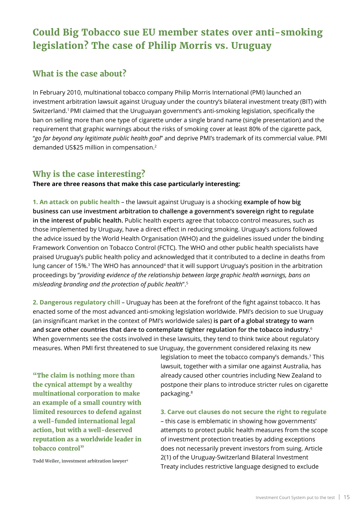# <span id="page-14-0"></span>**Could Big Tobacco sue EU member states over anti-smoking legislation? The case of Philip Morris vs. Uruguay**

### **What is the case about?**

In February 2010, multinational tobacco company Philip Morris International (PMI) launched an investment arbitration lawsuit against Uruguay under the country's bilateral investment treaty (BIT) with Switzerland.1 PMI claimed that the Uruguayan government's anti-smoking legislation, specifically the ban on selling more than one type of cigarette under a single brand name (single presentation) and the requirement that graphic warnings about the risks of smoking cover at least 80% of the cigarette pack, "*go far beyond any legitimate public health goal*" and deprive PMI's trademark of its commercial value. PMI demanded US\$25 million in compensation.2

# **Why is the case interesting?**

**There are three reasons that make this case particularly interesting:**

**1. An attack on public health** – the lawsuit against Uruguay is a shocking **example of how big business can use investment arbitration to challenge a government's sovereign right to regulate in the interest of public health.** Public health experts agree that tobacco control measures, such as those implemented by Uruguay, have a direct effect in reducing smoking. Uruguay's actions followed the advice issued by the World Health Organisation (WHO) and the guidelines issued under the binding Framework Convention on Tobacco Control (FCTC). The WHO and other public health specialists have praised Uruguay's public health policy and acknowledged that it contributed to a decline in deaths from lung cancer of 15%.<sup>3</sup> The WHO has announced<sup>4</sup> that it will support Uruguay's position in the arbitration proceedings by "*providing evidence of the relationship between large graphic health warnings, bans on misleading branding and the protection of public health*".5

**2. Dangerous regulatory chill** – Uruguay has been at the forefront of the fight against tobacco. It has enacted some of the most advanced anti-smoking legislation worldwide. PMI's decision to sue Uruguay (an insignificant market in the context of PMI's worldwide sales) **is part of a global strategy to warn and scare other countries that dare to contemplate tighter regulation for the tobacco industry.**<sup>6</sup> When governments see the costs involved in these lawsuits, they tend to think twice about regulatory measures. When PMI first threatened to sue Uruguay, the government considered relaxing its new

**"The claim is nothing more than the cynical attempt by a wealthy multinational corporation to make an example of a small country with limited resources to defend against a well-funded international legal action, but with a well-deserved reputation as a worldwide leader in tobacco control"** 

legislation to meet the tobacco company's demands.<sup>7</sup> This lawsuit, together with a similar one against Australia, has already caused other countries including New Zealand to postpone their plans to introduce stricter rules on cigarette packaging.8

#### **3. Carve out clauses do not secure the right to regulate**

– this case is emblematic in showing how governments' attempts to protect public health measures from the scope of investment protection treaties by adding exceptions does not necessarily prevent investors from suing. Article 2(1) of the Uruguay-Switzerland Bilateral Investment Treaty includes restrictive language designed to exclude

**Todd Weiler, investment arbitration lawyer9**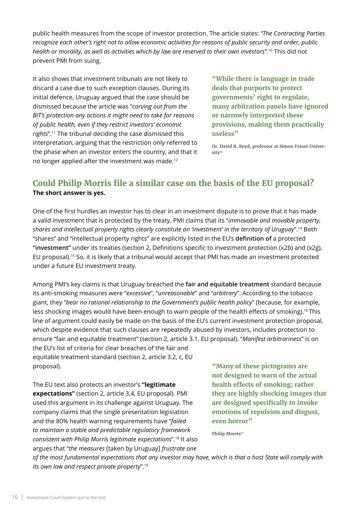public health measures from the scope of investor protection. The article states: *"The Contracting Parties recognize each other's right not to allow economic activities for reasons of public security and order, public health or morality, as well as activities which by law are reserved to their own investors".*<sup>10</sup> This did not prevent PMI from suing.

It also shows that investment tribunals are not likely to discard a case due to such exception clauses. During its initial defence, Uruguay argued that the case should be dismissed because the article was "*carving out from the BIT's protection any actions it might need to take for reasons of public health, even if they restrict investors' economic rights*".11 The tribunal deciding the case dismissed this interpretation, arguing that the restriction only referred to the phase when an investor enters the country, and that it no longer applied after the investment was made.12

**"While there is language in trade deals that purports to protect governments' right to regulate, many arbitration panels have ignored or narrowly interpreted these provisions, making them practically useless"** 

**Dr. David R. Boyd, professor at Simon Fraser University13**

# **Could Philip Morris file a similar case on the basis of the EU proposal? The short answer is yes.**

One of the first hurdles an investor has to clear in an investment dispute is to prove that it has made a valid investment that is protected by the treaty. PMI claims that its "*immovable and movable property, shares and intellectual property rights clearly constitute an 'investment' in the territory of Uruguay*".14 Both "shares" and "intellectual property rights" are explicitly listed in the EU's **definition of** a protected **"investment"** under its treaties (section 2, Definitions specific to investment protection (x2b) and (x2g), EU proposal).15 So, it is likely that a tribunal would accept that PMI has made an investment protected under a future EU investment treaty.

Among PMI's key claims is that Uruguay breached the **fair and equitable treatment** standard because its anti-smoking measures were "*excessive*", "*unreasonable*" and "*arbitrary*". According to the tobacco giant, they "*bear no rational relationship to the Government's public health policy*" (because, for example, less shocking images would have been enough to warn people of the health effects of smoking).<sup>16</sup> This line of argument could easily be made on the basis of the EU's current investment protection proposal, which despite evidence that such clauses are repeatedly abused by investors, includes protection to ensure "fair and equitable treatment" (section 2, article 3.1, EU proposal). "*Manifest arbitrariness*" is on the EU's list of criteria for clear breaches of the fair and

equitable treatment standard (section 2, article 3.2, c, EU proposal).

The EU text also protects an investor's **"legitimate expectations"** (section 2, article 3.4, EU proposal). PMI used this argument in its challenge against Uruguay. The company claims that the single presentation legislation and the 80% health warning requirements have "*failed to maintain a stable and predictable regulatory framework consistent with Philip Morris legitimate expectations*".18 It also argues that "*the measures* [taken by Uruguay] *frustrate one* 

**"Many of these pictograms are not designed to warn of the actual health effects of smoking; rather they are highly shocking images that are designed specifically to invoke emotions of repulsion and disgust, even horror"**

**Philip Morris<sup>17</sup>** 

*of the most fundamental expectations that any investor may have, which is that a host State will comply with its own law and respect private property*".19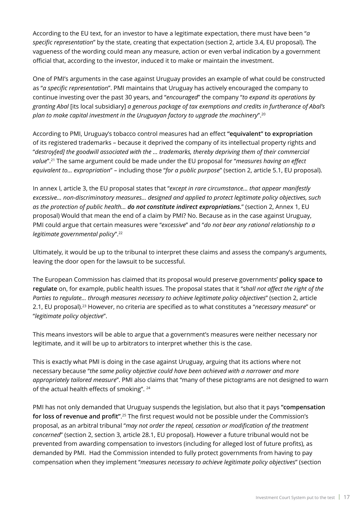According to the EU text, for an investor to have a legitimate expectation, there must have been "*a specific representation*" by the state, creating that expectation (section 2, article 3.4, EU proposal). The vagueness of the wording could mean any measure, action or even verbal indication by a government official that, according to the investor, induced it to make or maintain the investment.

One of PMI's arguments in the case against Uruguay provides an example of what could be constructed as "*a specific representation*". PMI maintains that Uruguay has actively encouraged the company to continue investing over the past 30 years, and "*encouraged*" the company "*to expand its operations by granting Abal* [its local subsidiary] *a generous package of tax exemptions and credits in furtherance of Abal's plan to make capital investment in the Uruguayan factory to upgrade the machinery*".20

According to PMI, Uruguay's tobacco control measures had an effect **"equivalent" to expropriation** of its registered trademarks – because it deprived the company of its intellectual property rights and "*destroy[ed] the goodwill associated with the … trademarks, thereby depriving them of their commercial value*".21 The same argument could be made under the EU proposal for "*measures having an effect equivalent to... expropriation*" – including those "*for a public purpose*" (section 2, article 5.1, EU proposal).

In annex I, article 3, the EU proposal states that "*except in rare circumstance… that appear manifestly excessive… non-discriminatory measures... designed and applied to protect legitimate policy objectives, such as the protection of public health... do not constitute indirect expropriations.*" (section 2, Annex 1, EU proposal) Would that mean the end of a claim by PMI? No. Because as in the case against Uruguay, PMI could argue that certain measures were "*excessive*" and "*do not bear any rational relationship to a legitimate governmental policy*".22

Ultimately, it would be up to the tribunal to interpret these claims and assess the company's arguments, leaving the door open for the lawsuit to be successful.

The European Commission has claimed that its proposal would preserve governments' **policy space to regulate** on, for example, public health issues. The proposal states that it "*shall not affect the right of the Parties to regulate... through measures necessary to achieve legitimate policy objectives*" (section 2, article 2.1, EU proposal).23 However, no criteria are specified as to what constitutes a "*necessary measure*" or "*legitimate policy objective*".

This means investors will be able to argue that a government's measures were neither necessary nor legitimate, and it will be up to arbitrators to interpret whether this is the case.

This is exactly what PMI is doing in the case against Uruguay, arguing that its actions where not necessary because "*the same policy objective could have been achieved with a narrower and more appropriately tailored measure*". PMI also claims that "many of these pictograms are not designed to warn of the actual health effects of smoking". <sup>24</sup>

PMI has not only demanded that Uruguay suspends the legislation, but also that it pays **"compensation for loss of revenue and profit"**.<sup>25</sup> The first request would not be possible under the Commission's proposal, as an arbitral tribunal "*may not order the repeal, cessation or modification of the treatment concerned*" (section 2, section 3, article 28.1, EU proposal). However a future tribunal would not be prevented from awarding compensation to investors (including for alleged lost of future profits), as demanded by PMI. Had the Commission intended to fully protect governments from having to pay compensation when they implement "*measures necessary to achieve legitimate policy objectives*" (section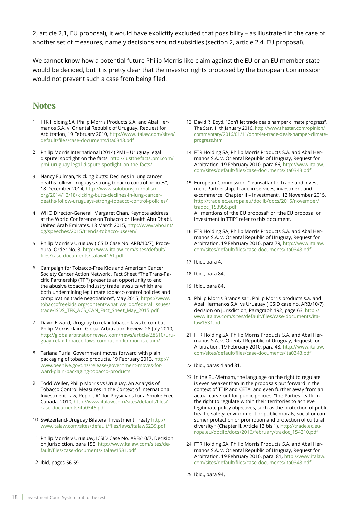2, article 2.1, EU proposal), it would have explicitly excluded that possibility – as illustrated in the case of another set of measures, namely decisions around subsidies (section 2, article 2.4, EU proposal).

We cannot know how a potential future Philip Morris-like claim against the EU or an EU member state would be decided, but it is pretty clear that the investor rights proposed by the European Commission would not prevent such a case from being filed.

### **Notes**

- FTR Holding SA, Philip Morris Products S.A. and Abal Her-1 manos S.A. v. Oriental Republic of Uruguay, Request for Arbitration, 19 February 2010, [http://www.italaw.com/sites/](http://www.italaw.com/sites/default/files/case-documents/ita0343.pdf) [default/files/case-documents/ita0343.pdf](http://www.italaw.com/sites/default/files/case-documents/ita0343.pdf)
- Philip Morris International (2014) PMI Uruguay legal 2 dispute: spotlight on the facts, [http://justthefacts.pmi.com/](http://justthefacts.pmi.com/pmi-uruguay-legal-dispute-spotlight-on-the-facts/) [pmi](http://justthefacts.pmi.com/pmi-uruguay-legal-dispute-spotlight-on-the-facts/)-uruguay-legal-dispute-spotlight-on-the-facts/
- Nancy Fullman, "Kicking butts: Declines in lung cancer 3 deaths follow Uruguay's strong tobacco control policies", 18 December 2014, [http://www.solutionsjournalism.](http://www.solutionsjournalism.org/2014/12/18/kicking-butts-declines-in-lung-cancer-deaths-follow-uruguays-strong-tobacco-control-policies/) [org/2014/12/18/kicking-butts-declines-in-lung-cancer](http://www.solutionsjournalism.org/2014/12/18/kicking-butts-declines-in-lung-cancer-deaths-follow-uruguays-strong-tobacco-control-policies/)[deaths-follow-uruguays-strong-tobacco-control-policies/](http://www.solutionsjournalism.org/2014/12/18/kicking-butts-declines-in-lung-cancer-deaths-follow-uruguays-strong-tobacco-control-policies/)
- WHO Director-General, Margaret Chan, Keynote address 4 at the World Conference on Tobacco or Health Abu Dhabi, United Arab Emirates, 18 March 2015, [http://www.who.int/](http://www.who.int/dg/speeches/2015/trends-tobacco-use/en/) [dg/speeches/2015/trends-tobacco-use/en/](http://www.who.int/dg/speeches/2015/trends-tobacco-use/en/)
- 5 Philip Morris v Uruguay (ICSID Case No. ARB/10/7), Procedural Order No. 3, [http://www.italaw.com/sites/default/](http://www.italaw.com/sites/default/files/case-documents/italaw4161.pdf) [files/case-documents/italaw4161.pdf](http://www.italaw.com/sites/default/files/case-documents/italaw4161.pdf)
- Campaign for Tobacco-Free Kids and American Cancer 6 Society Cancer Action Network , Fact Sheet "The Trans-Pacific Partnership (TPP) presents an opportunity to end the abusive tobacco industry trade lawsuits which are both undermining legitimate tobacco control policies and complicating trade negotiations", May 2015, [https://www.](https://www.tobaccofreekids.org/content/what_we_do/federal_issues/trade/ISDS_TFK_ACS_CAN_Fact_Sheet_May_2015.pdf) [tobaccofreekids.org/content/what\\_we\\_do/federal\\_issues/](https://www.tobaccofreekids.org/content/what_we_do/federal_issues/trade/ISDS_TFK_ACS_CAN_Fact_Sheet_May_2015.pdf) [trade/ISDS\\_TFK\\_ACS\\_CAN\\_Fact\\_Sheet\\_May\\_2015.pdf](https://www.tobaccofreekids.org/content/what_we_do/federal_issues/trade/ISDS_TFK_ACS_CAN_Fact_Sheet_May_2015.pdf)
- David Elward, Uruguay to relax tobacco laws to combat 7 Philip Morris claim, Global Arbitration Review, 28 July 2010, [http://globalarbitrationreview.com/news/article/28610/uru](http://globalarbitrationreview.com/news/article/28610/uruguay-relax-tobacco-laws-combat-philip-morris-claim/)[guay-relax-tobacco-laws-combat-philip-morris-claim/](http://globalarbitrationreview.com/news/article/28610/uruguay-relax-tobacco-laws-combat-philip-morris-claim/)
- Tariana Turia, Government moves forward with plain 8 packaging of tobacco products, 19 February 2013, [http://](http://www.beehive.govt.nz/release/government-moves-forward-plain-packaging-tobacco-products) [www.beehive.govt.nz/release/government-moves-for](http://www.beehive.govt.nz/release/government-moves-forward-plain-packaging-tobacco-products)[ward-plain-packaging-tobacco-products](http://www.beehive.govt.nz/release/government-moves-forward-plain-packaging-tobacco-products)
- Todd Weiler, Philip Morris vs Uruguay. An Analysis of 9 Tobacco Control Measures in the Context of International Investment Law, Report #1 for Physicians for a Smoke Free Canada, 2010, [http://www.italaw.com/sites/default/files/](http://www.italaw.com/sites/default/files/case-documents/ita0345.pdf) [case-documents/ita0345.pdf](http://www.italaw.com/sites/default/files/case-documents/ita0345.pdf)
- 10 Switzerland-Uruguay Bilateral Investment Treaty [http://](http://www.italaw.com/sites/default/files/laws/italaw6239.pdf) [www.italaw.com/sites/default/files/laws/italaw6239.pdf](http://www.italaw.com/sites/default/files/laws/italaw6239.pdf)
- 11 Philip Morris v Uruguay, ICSID Case No. ARB/10/7, Decision on Jurisdiction, para 155, [http://www.italaw.com/sites/de](http://www.italaw.com/sites/default/files/case-documents/italaw1531.pdf)[fault/files/case-documents/italaw1531.pdf](http://www.italaw.com/sites/default/files/case-documents/italaw1531.pdf)
- 12 Ibid, pages 56-59
- 13 David R. Boyd, "Don't let trade deals hamper climate progress", The Star, 11th January 2016, [http://www.thestar.com/opinion/](http://www.thestar.com/opinion/commentary/2016/01/11/dont-let-trade-deals-hamper-climate-progress.html) [commentary/2016/01/11/dont-let-trade-deals-hamper-climate](http://www.thestar.com/opinion/commentary/2016/01/11/dont-let-trade-deals-hamper-climate-progress.html)[progress.html](http://www.thestar.com/opinion/commentary/2016/01/11/dont-let-trade-deals-hamper-climate-progress.html)
- FTR Holding SA, Philip Morris Products S.A. and Abal Her-14 manos S.A. v. Oriental Republic of Uruguay, Request for Arbitration, 19 February 2010, para 66, [http://www.italaw.](http://www.italaw.com/sites/default/files/case-documents/ita0343.pdf) [com/sites/default/files/case-documents/ita0343.pdf](http://www.italaw.com/sites/default/files/case-documents/ita0343.pdf)
- 15 European Commission, "Transatlantic Trade and Investment Partnership. Trade in services, investment and e-commerce. Chapter II – Investment", 12 November 2015, [http://trade.ec.europa.eu/doclib/docs/2015/november/](http://trade.ec.europa.eu/doclib/docs/2015/november/tradoc_153955.pdf) [tradoc\\_153955.pdf](http://trade.ec.europa.eu/doclib/docs/2015/november/tradoc_153955.pdf) All mentions of "the EU proposal" or "the EU proposal on investment in TTIP" refer to this document.
- FTR Holding SA, Philip Morris Products S.A. and Abal Her-16 manos S.A. v. Oriental Republic of Uruguay, Request for Arbitration, 19 February 2010, para 79, [http://www.italaw.](http://www.italaw.com/sites/default/files/case-documents/ita0343.pdf) [com/sites/default/files/case-documents/ita0343.pdf](http://www.italaw.com/sites/default/files/case-documents/ita0343.pdf)
- 17 Ibid., para 4.
- Ibid., para 84. 18
- Ibid., para 84. 19
- 20 Philip Morris Brands sarl, Philip Morris products s.a. and Abal Hermanos S.A. vs Uruguay (ICSID case no. ARB/10/7), decision on jurisdiction, Paragraph 192, page 63, [http://](http://www.italaw.com/sites/default/files/case-documents/italaw1531.pdf) [www.italaw.com/sites/default/files/case-documents/ita](http://www.italaw.com/sites/default/files/case-documents/italaw1531.pdf)[law1531.pdf](http://www.italaw.com/sites/default/files/case-documents/italaw1531.pdf)
- FTR Holding SA, Philip Morris Products S.A. and Abal Her-21 manos S.A. v. Oriental Republic of Uruguay, Request for Arbitration, 19 February 2010, para 48, [http://www.italaw.](http://www.italaw.com/sites/default/files/case-documents/ita0343.pdf) [com/sites/default/files/case-documents/ita0343.pdf](http://www.italaw.com/sites/default/files/case-documents/ita0343.pdf)
- 22 Ibid., paras 4 and 81.
- 23 In the EU-Vietnam, the language on the right to regulate is even weaker than in the proposals put forward in the context of TTIP and CETA, and even further away from an actual carve-out for public policies: "the Parties reaffirm the right to regulate within their territories to achieve legitimate policy objectives, such as the protection of public health, safety, environment or public morals, social or consumer protection or promotion and protection of cultural diversity " (Chapter II, Article 13 bis.1)[, http://trade.ec.eu](http://trade.ec.europa.eu/doclib/docs/2016/february/tradoc_154210.pdf)[ropa.eu/doclib/docs/2016/february/tradoc\\_154210.pdf](http://trade.ec.europa.eu/doclib/docs/2016/february/tradoc_154210.pdf)
- FTR Holding SA, Philip Morris Products S.A. and Abal Her-24 manos S.A. v. Oriental Republic of Uruguay, Request for Arbitration, 19 February 2010, para 81, [http://www.italaw.](http://www.italaw.com/sites/default/files/case-documents/ita0343.pdf) [com/sites/default/files/case-documents/ita0343.pdf](http://www.italaw.com/sites/default/files/case-documents/ita0343.pdf)
- 25 Ibid., para 94.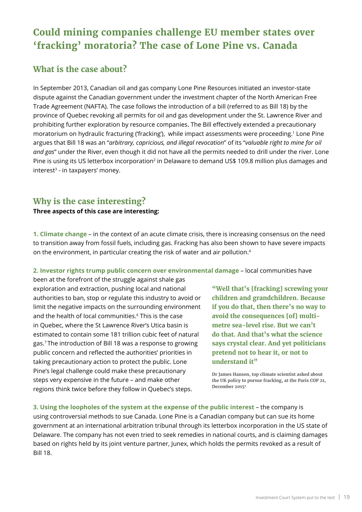# <span id="page-18-0"></span>**Could mining companies challenge EU member states over 'fracking' moratoria? The case of Lone Pine vs. Canada**

### **What is the case about?**

In September 2013, Canadian oil and gas company Lone Pine Resources initiated an investor-state dispute against the Canadian government under the investment chapter of the North American Free Trade Agreement (NAFTA). The case follows the introduction of a bill (referred to as Bill 18) by the province of Quebec revoking all permits for oil and gas development under the St. Lawrence River and prohibiting further exploration by resource companies. The Bill effectively extended a precautionary moratorium on hydraulic fracturing ('fracking'), while impact assessments were proceeding.1 Lone Pine argues that Bill 18 was an "*arbitrary, capricious, and illegal revocation*" of its "*valuable right to mine for oil and gas*" under the River, even though it did not have all the permits needed to drill under the river. Lone Pine is using its US letterbox incorporation<sup>2</sup> in Delaware to demand US\$ 109.8 million plus damages and  $interest<sup>3</sup> - in taxpavers' money.$ 

# **Why is the case interesting?**

### **Three aspects of this case are interesting:**

**1. Climate change** – in the context of an acute climate crisis, there is increasing consensus on the need to transition away from fossil fuels, including gas. Fracking has also been shown to have severe impacts on the environment, in particular creating the risk of water and air pollution.4

**2. Investor rights trump public concern over environmental damage** – local communities have

been at the forefront of the struggle against shale gas exploration and extraction, pushing local and national authorities to ban, stop or regulate this industry to avoid or limit the negative impacts on the surrounding environment and the health of local communities.<sup>6</sup> This is the case in Quebec, where the St Lawrence River's Utica basin is estimated to contain some 181 trillion cubic feet of natural gas.7 The introduction of Bill 18 was a response to growing public concern and reflected the authorities' priorities in taking precautionary action to protect the public. Lone Pine's legal challenge could make these precautionary steps very expensive in the future – and make other regions think twice before they follow in Quebec's steps.

**"Well that's [fracking] screwing your children and grandchildren. Because if you do that, then there's no way to avoid the consequences [of] multimetre sea-level rise. But we can't do that. And that's what the science says crystal clear. And yet politicians pretend not to hear it, or not to understand it"**

**Dr James Hansen, top climate scientist asked about the UK policy to pursue fracking, at the Paris COP 21, December 20155**

**3. Using the loopholes of the system at the expense of the public interest** – the company is using controversial methods to sue Canada. Lone Pine is a Canadian company but can sue its home government at an international arbitration tribunal through its letterbox incorporation in the US state of Delaware. The company has not even tried to seek remedies in national courts, and is claiming damages based on rights held by its joint venture partner, Junex, which holds the permits revoked as a result of Bill 18.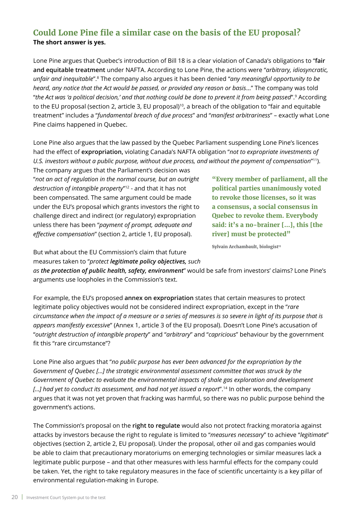# **Could Lone Pine file a similar case on the basis of the EU proposal? The short answer is yes.**

Lone Pine argues that Quebec's introduction of Bill 18 is a clear violation of Canada's obligations to "**fair and equitable treatment** under NAFTA. According to Lone Pine, the actions were "*arbitrary, idiosyncratic, unfair and inequitable*".8 The company also argues it has been denied "*any meaningful opportunity to be heard, any notice that the Act would be passed, or provided any reason or basis*..." The company was told "*the Act was 'a political decision,' and that nothing could be done to prevent it from being passed*".9 According to the EU proposal (section 2, article 3, EU proposal)<sup>10</sup>, a breach of the obligation to "fair and equitable treatment" includes a "*fundamental breach of due process*" and "*manifest arbitrariness*" – exactly what Lone Pine claims happened in Quebec.

Lone Pine also argues that the law passed by the Quebec Parliament suspending Lone Pine's licences had the effect of **expropriation,** violating Canada's NAFTA obligation "*not to expropriate investments of U.S. investors without a public purpose, without due process, and without the payment of compensation*"11).

The company argues that the Parliament's decision was "*not an act of regulation in the normal course, but an outright destruction of intangible property*"12 - and that it has not been compensated. The same argument could be made under the EU's proposal which grants investors the right to challenge direct and indirect (or regulatory) expropriation unless there has been "*payment of prompt, adequate and effective compensation*" (section 2, article 1, EU proposal).

**"Every member of parliament, all the political parties unanimously voted to revoke those licenses, so it was a consensus, a social consensus in Quebec to revoke them. Everybody said: it's a no-brainer [...], this [the river] must be protected"**

**Sylvain Archambault, biologist<sup>13</sup>** 

But what about the EU Commission's claim that future measures taken to "*protect legitimate policy objectives, such* 

*as the protection of public health, safety, environment*" would be safe from investors' claims? Lone Pine's arguments use loopholes in the Commission's text.

For example, the EU's proposed **annex on expropriation** states that certain measures to protect legitimate policy objectives would not be considered indirect expropriation, except in the "*rare circumstance when the impact of a measure or a series of measures is so severe in light of its purpose that is appears manifestly excessive*" (Annex 1, article 3 of the EU proposal). Doesn't Lone Pine's accusation of "*outright destruction of intangible property*" and "*arbitrary*" and "*capricious*" behaviour by the government fit this "rare circumstance"?

Lone Pine also argues that "*no public purpose has ever been advanced for the expropriation by the Government of Quebec […] the strategic environmental assessment committee that was struck by the Government of Quebec to evaluate the environmental impacts of shale gas exploration and development […] had yet to conduct its assessment, and had not yet issued a report*".14 In other words, the company argues that it was not yet proven that fracking was harmful, so there was no public purpose behind the government's actions.

The Commission's proposal on the **right to regulate** would also not protect fracking moratoria against attacks by investors because the right to regulate is limited to "*measures necessary*" to achieve "*legitimate*" objectives (section 2, article 2, EU proposal). Under the proposal, other oil and gas companies would be able to claim that precautionary moratoriums on emerging technologies or similar measures lack a legitimate public purpose – and that other measures with less harmful effects for the company could be taken. Yet, the right to take regulatory measures in the face of scientific uncertainty is a key pillar of environmental regulation-making in Europe.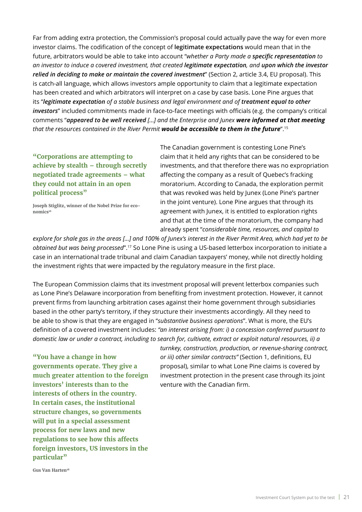Far from adding extra protection, the Commission's proposal could actually pave the way for even more investor claims. The codification of the concept of **legitimate expectations** would mean that in the future, arbitrators would be able to take into account "*whether a Party made a specific representation to an investor to induce a covered investment, that created legitimate expectation, and upon which the investor relied in deciding to make or maintain the covered investment*" (Section 2, article 3.4, EU proposal). This is catch-all language, which allows investors ample opportunity to claim that a legitimate expectation has been created and which arbitrators will interpret on a case by case basis. Lone Pine argues that its "*legitimate expectation of a stable business and legal environment and of treatment equal to other investors*" included commitments made in face-to-face meetings with officials (e.g. the company's critical comments "*appeared to be well received […] and the Enterprise and Junex were informed at that meeting that the resources contained in the River Permit would be accessible to them in the future*".15

**"Corporations are attempting to achieve by stealth – through secretly negotiated trade agreements – what they could not attain in an open political process"**

**Joseph Stiglitz, winner of the Nobel Prize for economics16** 

The Canadian government is contesting Lone Pine's claim that it held any rights that can be considered to be investments, and that therefore there was no expropriation affecting the company as a result of Quebec's fracking moratorium. According to Canada, the exploration permit that was revoked was held by Junex (Lone Pine's partner in the joint venture). Lone Pine argues that through its agreement with Junex, it is entitled to exploration rights and that at the time of the moratorium, the company had already spent "*considerable time, resources, and capital to* 

*explore for shale gas in the areas […] and 100% of Junex's interest in the River Permit Area, which had yet to be obtained but was being processed*".17 So Lone Pine is using a US-based letterbox incorporation to initiate a case in an international trade tribunal and claim Canadian taxpayers' money, while not directly holding the investment rights that were impacted by the regulatory measure in the first place.

The European Commission claims that its investment proposal will prevent letterbox companies such as Lone Pine's Delaware incorporation from benefiting from investment protection. However, it cannot prevent firms from launching arbitration cases against their home government through subsidiaries based in the other party's territory, if they structure their investments accordingly. All they need to be able to show is that they are engaged in "*substantive business operations*". What is more, the EU's definition of a covered investment includes: *"an interest arising from: i) a concession conferred pursuant to domestic law or under a contract, including to search for, cultivate, extract or exploit natural resources, ii) a* 

**"You have a change in how governments operate. They give a much greater attention to the foreign investors' interests than to the interests of others in the country. In certain cases, the institutional structure changes, so governments will put in a special assessment process for new laws and new regulations to see how this affects foreign investors, US investors in the particular"** 

*turnkey, construction, production, or revenue-sharing contract, or iii) other similar contracts"* (Section 1, definitions, EU proposal), similar to what Lone Pine claims is covered by investment protection in the present case through its joint venture with the Canadian firm.

**Gus Van Harten18**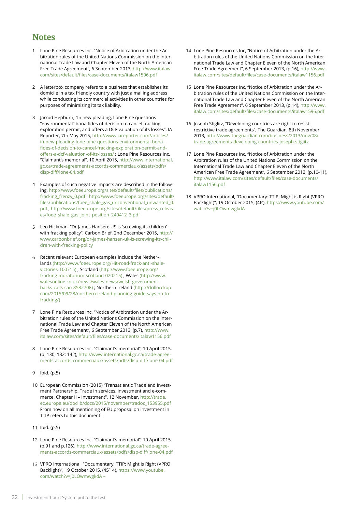### **Notes**

- Lone Pine Resources Inc, "Notice of Arbitration under the Ar-1 bitration rules of the United Nations Commission on the International Trade Law and Chapter Eleven of the North American Free Trade Agreement", 6 September 2013, [http://www.italaw.](http://www.italaw.com/sites/default/files/case-documents/italaw1596.pdf) [com/sites/default/files/case-documents/italaw1596.pdf](http://www.italaw.com/sites/default/files/case-documents/italaw1596.pdf)
- A letterbox company refers to a business that establishes its domicile in a tax friendly country with just a mailing address while conducting its commercial activities in other countries for purposes of minimizing its tax liability. 2
- Jarrod Hepburn, "In new pleading, Lone Pine questions 3 "environmental" bona fides of decision to cancel fracking exploration permit, and offers a DCF valuation of its losses", IA Reporter, 7th May 2015, [http://www.iareporter.com/articles/](http://www.iareporter.com/articles/in-new-pleading-lone-pine-questions-environmental-bona-fides-of-decision-to-cancel-fracking-exploration-permit-and-offers-a-dcf-valuation-of-its-losses/) [in-new-pleading-lone-pine-questions-environmental-bona](http://www.iareporter.com/articles/in-new-pleading-lone-pine-questions-environmental-bona-fides-of-decision-to-cancel-fracking-exploration-permit-and-offers-a-dcf-valuation-of-its-losses/)[fides-of-decision-to-cancel-fracking-exploration-permit-and](http://www.iareporter.com/articles/in-new-pleading-lone-pine-questions-environmental-bona-fides-of-decision-to-cancel-fracking-exploration-permit-and-offers-a-dcf-valuation-of-its-losses/)[offers-a-dcf-valuation-of-its-losses/](http://www.iareporter.com/articles/in-new-pleading-lone-pine-questions-environmental-bona-fides-of-decision-to-cancel-fracking-exploration-permit-and-offers-a-dcf-valuation-of-its-losses/) ; Lone Pine Resources Inc, "Claimant's memorial", 10 April 2015, [http://www.international.](http://www.international.gc.ca/trade-agreements-accords-commerciaux/assets/pdfs/disp-diff/lone-04.pdf) [gc.ca/trade-agreements-accords-commerciaux/assets/pdfs/](http://www.international.gc.ca/trade-agreements-accords-commerciaux/assets/pdfs/disp-diff/lone-04.pdf) [disp-diff/lone-04.pdf](http://www.international.gc.ca/trade-agreements-accords-commerciaux/assets/pdfs/disp-diff/lone-04.pdf)
- Examples of such negative impacts are described in the following, [http://www.foeeurope.org/sites/default/files/publications/](http://www.foeeurope.org/sites/default/files/publications/fracking_frenzy_0.pdf) [fracking\\_frenzy\\_0.pdf](http://www.foeeurope.org/sites/default/files/publications/fracking_frenzy_0.pdf) ; [http://www.foeeurope.org/sites/default/](http://www.foeeurope.org/sites/default/files/publications/foee_shale_gas_unconventional_unwanted_0.pdf) [files/publications/foee\\_shale\\_gas\\_unconventional\\_unwanted\\_0.](http://www.foeeurope.org/sites/default/files/publications/foee_shale_gas_unconventional_unwanted_0.pdf) [pdf](http://www.foeeurope.org/sites/default/files/publications/foee_shale_gas_unconventional_unwanted_0.pdf) ; [http://www.foeeurope.org/sites/default/files/press\\_releas](http://www.foeeurope.org/sites/default/files/press_releases/foee_shale_gas_joint_position_240412_3.pdf)[es/foee\\_shale\\_gas\\_joint\\_position\\_240412\\_3.pdf](http://www.foeeurope.org/sites/default/files/press_releases/foee_shale_gas_joint_position_240412_3.pdf) 4
- Leo Hickman, "Dr James Hansen: US is 'screwing its children' 5 with fracking policy", Carbon Brief, 2nd December 2015, [http://](http://www.carbonbrief.org/dr-james-hansen-uk-is-screwing-its-children-with-fracking-policy) [www.carbonbrief.org/dr-james-hansen-uk-is-screwing-its-chil](http://www.carbonbrief.org/dr-james-hansen-uk-is-screwing-its-children-with-fracking-policy)[dren-with-fracking-policy](http://www.carbonbrief.org/dr-james-hansen-uk-is-screwing-its-children-with-fracking-policy)
- Recent relevant European examples include the Nether-6 lands [\(http://www.foeeurope.org/Hit-road-frack-anti-shale](http://www.foeeurope.org/Hit-road-frack-anti-shale-victories-100715)[victories-100715\)](http://www.foeeurope.org/Hit-road-frack-anti-shale-victories-100715) ; Scotland ([http://www.foeeurope.org/](http://www.foeeurope.org/fracking-moratorium-scotland-020215) [fracking-moratorium-scotland-020215\)](http://www.foeeurope.org/fracking-moratorium-scotland-020215) ; Wales [\(http://www.](http://www.walesonline.co.uk/news/wales-news/welsh-government-backs-calls-can-8582708) [walesonline.co.uk/news/wales-news/welsh-government](http://www.walesonline.co.uk/news/wales-news/welsh-government-backs-calls-can-8582708)[backs-calls-can-8582708\)](http://www.walesonline.co.uk/news/wales-news/welsh-government-backs-calls-can-8582708) ; Northern Ireland ([http://drillordrop.](http://drillordrop.com/2015/09/28/northern-ireland-planning-guide-says-no-to-fracking/) [com/2015/09/28/northern-ireland-planning-guide-says-no-to](http://drillordrop.com/2015/09/28/northern-ireland-planning-guide-says-no-to-fracking/)[fracking/\)](http://drillordrop.com/2015/09/28/northern-ireland-planning-guide-says-no-to-fracking/)
- Lone Pine Resources Inc, "Notice of Arbitration under the Ar-7 bitration rules of the United Nations Commission on the International Trade Law and Chapter Eleven of the North American Free Trade Agreement", 6 September 2013, (p.7), [http://www.](http://www.italaw.com/sites/default/files/case-documents/italaw1156.pdf) [italaw.com/sites/default/files/case-documents/italaw1156.pdf](http://www.italaw.com/sites/default/files/case-documents/italaw1156.pdf)
- Lone Pine Resources Inc, "Claimant's memorial", 10 April 2015, 8 (p. 130; 132; 142), [http://www.international.gc.ca/trade-agree](http://www.international.gc.ca/trade-agreements-accords-commerciaux/assets/pdfs/disp-diff/lone-04.pdf)[ments-accords-commerciaux/assets/pdfs/disp-diff/lone-04.pdf](http://www.international.gc.ca/trade-agreements-accords-commerciaux/assets/pdfs/disp-diff/lone-04.pdf)
- 9 Ibid. (p.5)
- 10 European Commission (2015) "Transatlantic Trade and Investment Partnership. Trade in services, investment and e-commerce. Chapter II – Investment", 12 November, [http://trade.](http://trade.ec.europa.eu/doclib/docs/2015/november/tradoc_153955.pdf) [ec.europa.eu/doclib/docs/2015/november/tradoc\\_153955.pdf](http://trade.ec.europa.eu/doclib/docs/2015/november/tradoc_153955.pdf) From now on all mentioning of EU proposal on investment in TTIP refers to this document.
- 11 Ibid. (p.5)
- Lone Pine Resources Inc, "Claimant's memorial", 10 April 2015, 12 (p.91 and p.126), [http://www.international.gc.ca/trade-agree](http://www.international.gc.ca/trade-agreements-accords-commerciaux/assets/pdfs/disp-diff/lone-04.pdf)[ments-accords-commerciaux/assets/pdfs/disp-diff/lone-04.pdf](http://www.international.gc.ca/trade-agreements-accords-commerciaux/assets/pdfs/disp-diff/lone-04.pdf)
- VPRO International, "Documentary: TTIP: Might is Right (VPRO 13 Backlight)", 19 October 2015, (45'14), [https://www.youtube.](https://www.youtube.com/watch?v=j0LOwmwgkdA) [com/watch?v=j0LOwmwgkdA](https://www.youtube.com/watch?v=j0LOwmwgkdA) –
- 14 Lone Pine Resources Inc, "Notice of Arbitration under the Arbitration rules of the United Nations Commission on the International Trade Law and Chapter Eleven of the North American Free Trade Agreement", 6 September 2013, (p.16), [http://www.](http://www.italaw.com/sites/default/files/case-documents/italaw1156.pdf) [italaw.com/sites/default/files/case-documents/italaw1156.pdf](http://www.italaw.com/sites/default/files/case-documents/italaw1156.pdf)
- 15 Lone Pine Resources Inc, "Notice of Arbitration under the Arbitration rules of the United Nations Commission on the International Trade Law and Chapter Eleven of the North American Free Trade Agreement", 6 September 2013, (p.14), [http://www.](http://www.italaw.com/sites/default/files/case-documents/italaw1596.pdf) [italaw.com/sites/default/files/case-documents/italaw1596.pdf](http://www.italaw.com/sites/default/files/case-documents/italaw1596.pdf)
- 16 Joseph Stiglitz, "Developing countries are right to resist restrictive trade agreements", The Guardian, 8th November 2013, [http://www.theguardian.com/business/2013/nov/08/](http://www.theguardian.com/business/2013/nov/08/trade-agreements-developing-countries-joseph-stiglitz) [trade-agreements-developing-countries-joseph-stiglitz](http://www.theguardian.com/business/2013/nov/08/trade-agreements-developing-countries-joseph-stiglitz)
- 17 Lone Pine Resources Inc, "Notice of Arbitration under the Arbitration rules of the United Nations Commission on the International Trade Law and Chapter Eleven of the North American Free Trade Agreement", 6 September 2013, (p.10-11), [http://www.italaw.com/sites/default/files/case-documents/](http://www.italaw.com/sites/default/files/case-documents/italaw1156.pdf) [italaw1156.pdf](http://www.italaw.com/sites/default/files/case-documents/italaw1156.pdf)
- VPRO International, "Documentary: TTIP: Might is Right (VPRO 18Backlight)", 19 October 2015, (46'), [https://www.youtube.com/](https://www.youtube.com/watch?v=j0LOwmwgkdA) [watch?v=j0LOwmwgkdA](https://www.youtube.com/watch?v=j0LOwmwgkdA) –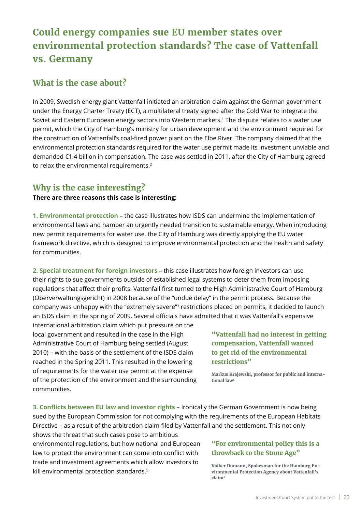# <span id="page-22-0"></span>**Could energy companies sue EU member states over environmental protection standards? The case of Vattenfall vs. Germany**

### **What is the case about?**

In 2009, Swedish energy giant Vattenfall initiated an arbitration claim against the German government under the Energy Charter Treaty (ECT), a multilateral treaty signed after the Cold War to integrate the Soviet and Eastern European energy sectors into Western markets.1 The dispute relates to a water use permit, which the City of Hamburg's ministry for urban development and the environment required for the construction of Vattenfall's coal-fired power plant on the Elbe River. The company claimed that the environmental protection standards required for the water use permit made its investment unviable and demanded €1.4 billion in compensation. The case was settled in 2011, after the City of Hamburg agreed to relax the environmental requirements.<sup>2</sup>

# **Why is the case interesting?**

### **There are three reasons this case is interesting:**

**1. Environmental protection –** the case illustrates how ISDS can undermine the implementation of environmental laws and hamper an urgently needed transition to sustainable energy. When introducing new permit requirements for water use, the City of Hamburg was directly applying the EU water framework directive, which is designed to improve environmental protection and the health and safety for communities.

**2. Special treatment for foreign investors –** this case illustrates how foreign investors can use their rights to sue governments outside of established legal systems to deter them from imposing regulations that affect their profits. Vattenfall first turned to the High Administrative Court of Hamburg (Oberverwaltungsgericht) in 2008 because of the "undue delay" in the permit process. Because the company was unhappy with the "extremely severe"3 restrictions placed on permits, it decided to launch an ISDS claim in the spring of 2009. Several officials have admitted that it was Vattenfall's expensive

international arbitration claim which put pressure on the local government and resulted in the case in the High Administrative Court of Hamburg being settled (August 2010) – with the basis of the settlement of the ISDS claim reached in the Spring 2011. This resulted in the lowering of requirements for the water use permit at the expense of the protection of the environment and the surrounding communities.

### **"Vattenfall had no interest in getting compensation, Vattenfall wanted to get rid of the environmental restrictions"**

**Markus Krajewski, professor for public and international law4**

**3. Conflicts between EU law and investor rights** – Ironically the German Government is now being sued by the European Commission for not complying with the requirements of the European Habitats Directive – as a result of the arbitration claim filed by Vattenfall and the settlement. This not only

shows the threat that such cases pose to ambitious environmental regulations, but how national and European law to protect the environment can come into conflict with trade and investment agreements which allow investors to kill environmental protection standards.<sup>5</sup>

### **"For environmental policy this is a throwback to the Stone Age"**

**Volker Dumann, Spokesman for the Hamburg Environmental Protection Agency about Vattenfall's claim6**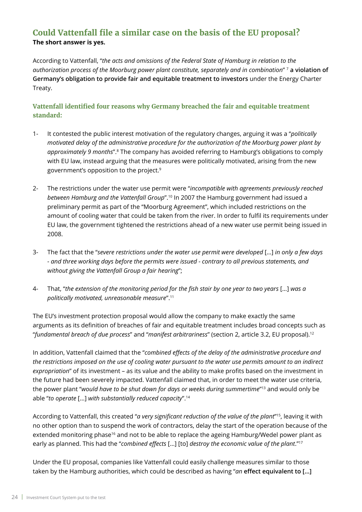### **Could Vattenfall file a similar case on the basis of the EU proposal? The short answer is yes.**

According to Vattenfall, "*the acts and omissions of the Federal State of Hamburg in relation to the authorization process of the Moorburg power plant constitute, separately and in combination*" 7 **a violation of Germany's obligation to provide fair and equitable treatment to investors** under the Energy Charter Treaty.

### **Vattenfall identified four reasons why Germany breached the fair and equitable treatment standard:**

- 1- It contested the public interest motivation of the regulatory changes, arguing it was a "*politically motivated delay of the administrative procedure for the authorization of the Moorburg power plant by approximately 9 months*".8 The company has avoided referring to Hamburg's obligations to comply with EU law, instead arguing that the measures were politically motivated, arising from the new government's opposition to the project.9
- 2- The restrictions under the water use permit were "*incompatible with agreements previously reached between Hamburg and the Vattenfall Group*".10 In 2007 the Hamburg government had issued a preliminary permit as part of the "Moorburg Agreement", which included restrictions on the amount of cooling water that could be taken from the river. In order to fulfil its requirements under EU law, the government tightened the restrictions ahead of a new water use permit being issued in 2008.
- 3- The fact that the "*severe restrictions under the water use permit were developed* […] *in only a few days - and three working days before the permits were issued - contrary to all previous statements, and without giving the Vattenfall Group a fair hearing*";
- 4- That, "*the extension of the monitoring period for the fish stair by one year to two years* […] *was a politically motivated, unreasonable measure*".11

The EU's investment protection proposal would allow the company to make exactly the same arguments as its definition of breaches of fair and equitable treatment includes broad concepts such as "*fundamental breach of due process*" and "*manifest arbitrariness*" (section 2, article 3.2, EU proposal).12

In addition, Vattenfall claimed that the "*combined effects of the delay of the administrative procedure and the restrictions imposed on the use of cooling water pursuant to the water use permits amount to an indirect expropriation*" of its investment – as its value and the ability to make profits based on the investment in the future had been severely impacted. Vattenfall claimed that, in order to meet the water use criteria, the power plant "*would have to be shut down for days or weeks during summertime*"13 and would only be able "*to operate* […] *with substantially reduced capacity*".14

According to Vattenfall, this created "*a very significant reduction of the value of the plant*"15, leaving it with no other option than to suspend the work of contractors, delay the start of the operation because of the extended monitoring phase<sup>16</sup> and not to be able to replace the ageing Hamburg/Wedel power plant as early as planned. This had the "*combined effects* […] [to] *destroy the economic value of the plant*."17

Under the EU proposal, companies like Vattenfall could easily challenge measures similar to those taken by the Hamburg authorities, which could be described as having "*an* **effect equivalent to […]**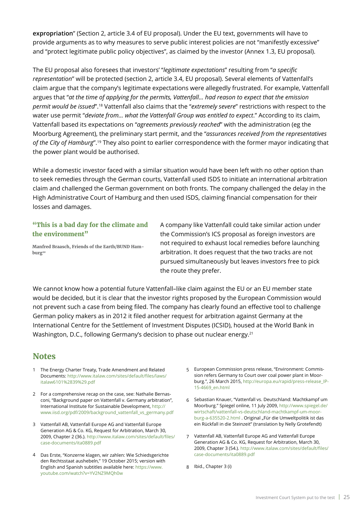**expropriation**" (Section 2, article 3.4 of EU proposal). Under the EU text, governments will have to provide arguments as to why measures to serve public interest policies are not "manifestly excessive" and "protect legitimate public policy objectives", as claimed by the investor (Annex 1.3, EU proposal).

The EU proposal also foresees that investors' "*legitimate expectations*" resulting from "*a specific representation*" will be protected (section 2, article 3.4, EU proposal). Several elements of Vattenfall's claim argue that the company's legitimate expectations were allegedly frustrated. For example, Vattenfall argues that "*at the time of applying for the permits, Vattenfall... had reason to expect that the emission permit would be issued*".18 Vattenfall also claims that the "*extremely severe*" restrictions with respect to the water use permit "*deviate from... what the Vattenfall Group was entitled to expect*." According to its claim, Vattenfall based its expectations on "*agreements previously reached*" with the administration (eg the Moorburg Agreement), the preliminary start permit, and the "*assurances received from the representatives of the City of Hamburg*".19 They also point to earlier correspondence with the former mayor indicating that the power plant would be authorised.

While a domestic investor faced with a similar situation would have been left with no other option than to seek remedies through the German courts, Vattenfall used ISDS to initiate an international arbitration claim and challenged the German government on both fronts. The company challenged the delay in the High Administrative Court of Hamburg and then used ISDS, claiming financial compensation for their losses and damages.

### **"This is a bad day for the climate and the environment"**

**Manfred Braasch, Friends of the Earth/BUND Hamburg20**

A company like Vattenfall could take similar action under the Commission's ICS proposal as foreign investors are not required to exhaust local remedies before launching arbitration. It does request that the two tracks are not pursued simultaneously but leaves investors free to pick the route they prefer.

We cannot know how a potential future Vattenfall–like claim against the EU or an EU member state would be decided, but it is clear that the investor rights proposed by the European Commission would not prevent such a case from being filed. The company has clearly found an effective tool to challenge German policy makers as in 2012 it filed another request for arbitration against Germany at the International Centre for the Settlement of Investment Disputes (ICSID), housed at the World Bank in Washington, D.C., following Germany's decision to phase out nuclear energy.<sup>21</sup>

### **Notes**

- 1 The Energy Charter Treaty, Trade Amendment and Related Documents: [http://www.italaw.com/sites/default/files/laws/](http://www.italaw.com/sites/default/files/laws/italaw6101(39).pdf) [italaw6101%2839%29.pdf](http://www.italaw.com/sites/default/files/laws/italaw6101(39).pdf)
- For a comprehensive recap on the case, see: Nathalie Bernas-2 coni, "Background paper on Vattenfall v. Germany arbitration", International Institute for Sustainable Development, [http://](http://www.iisd.org/pdf/2009/background_vattenfall_vs_germany.pdf) [www.iisd.org/pdf/2009/background\\_vattenfall\\_vs\\_germany.pdf](http://www.iisd.org/pdf/2009/background_vattenfall_vs_germany.pdf)
- Vattenfall AB, Vattenfall Europe AG and Vattenfall Europe 3 Generation AG & Co. KG, Request for Arbitration, March 30, 2009, Chapter 2 (36.). [http://www.italaw.com/sites/default/files/](http://www.italaw.com/sites/default/files/case-documents/ita0889.pdf) [case-documents/ita0889.pdf](http://www.italaw.com/sites/default/files/case-documents/ita0889.pdf)
- Das Erste, "Konzerne klagen, wir zahlen: Wie Schiedsgerichte 4 den Rechtsstaat aushebeln," 19 October 2015; version with English and Spanish subtitles available here: [https://www.](https://www.youtube.com/watch?v=YV2NZ9MQh0whttps://www.youtube.com/watch?v=YV2NZ9MQh0w) [youtube.com/watch?v=YV2NZ9MQh0w](https://www.youtube.com/watch?v=YV2NZ9MQh0whttps://www.youtube.com/watch?v=YV2NZ9MQh0w)
- European Commission press release, "Environment: Commis-5 sion refers Germany to Court over coal power plant in Moorburg.", 26 March 2015, [http://europa.eu/rapid/press-release\\_IP-](http://europa.eu/rapid/press-release_IP-15-4669_en.htm)[15-4669\\_en.html](http://europa.eu/rapid/press-release_IP-15-4669_en.htm)
- Sebastian Knauer, "Vattenfall vs. Deutschland: Machtkampf um 6 Moorburg." Spiegel online, 11 July 2009, [http://www.spiegel.de/](http://www.spiegel.de/wirtschaft/vattenfall-vs-deutschland-machtkampf-um-moorburg-a-635520-2.html) [wirtschaft/vattenfall-vs-deutschland-machtkampf-um-moor](http://www.spiegel.de/wirtschaft/vattenfall-vs-deutschland-machtkampf-um-moorburg-a-635520-2.html)[burg-a-635520-2.html](http://www.spiegel.de/wirtschaft/vattenfall-vs-deutschland-machtkampf-um-moorburg-a-635520-2.html) . Original "Für die Umweltpolitik ist das ein Rückfall in die Steinzeit" (translation by Nelly Grotefendt)
- Vattenfall AB, Vattenfall Europe AG and Vattenfall Europe 7 Generation AG & Co. KG, Request for Arbitration, March 30, 2009, Chapter 3 (54.). [http://www.italaw.com/sites/default/files/](http://www.italaw.com/sites/default/files/case-documents/ita0889.pdf) [case-documents/ita0889.pdf](http://www.italaw.com/sites/default/files/case-documents/ita0889.pdf)
- Ibid., Chapter 3 (i) 8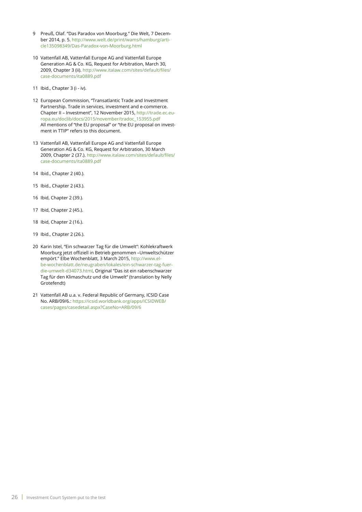- Preuß, Olaf. "Das Paradox von Moorburg." Die Welt, 7 December 2014, p. 5. [http://www.welt.de/print/wams/hamburg/arti](http://www.welt.de/print/wams/hamburg/article135098349/Das-Paradox-von-Moorburg.html)[cle135098349/Das-Paradox-von-Moorburg.html](http://www.welt.de/print/wams/hamburg/article135098349/Das-Paradox-von-Moorburg.html) 9
- 10 Vattenfall AB, Vattenfall Europe AG and Vattenfall Europe Generation AG & Co. KG, Request for Arbitration, March 30, 2009, Chapter 3 (ii). [http://www.italaw.com/sites/default/files/](http://www.italaw.com/sites/default/files/case-documents/ita0889.pdf) [case-documents/ita0889.pdf](http://www.italaw.com/sites/default/files/case-documents/ita0889.pdf)
- Ibid., Chapter 3 (i iv). 11
- 12 European Commission, "Transatlantic Trade and Investment Partnership. Trade in services, investment and e-commerce. Chapter II – Investment", 12 November 2015, [http://trade.ec.eu](http://trade.ec.europa.eu/doclib/docs/2015/november/tradoc_153955.pdf)[ropa.eu/doclib/docs/2015/november/tradoc\\_153955.pdf](http://trade.ec.europa.eu/doclib/docs/2015/november/tradoc_153955.pdf)  All mentions of "the EU proposal" or "the EU proposal on investment in TTIP" refers to this document.
- 13 Vattenfall AB, Vattenfall Europe AG and Vattenfall Europe Generation AG & Co. KG, Request for Arbitration, 30 March 2009, Chapter 2 (37.). [http://www.italaw.com/sites/default/files/](http://www.italaw.com/sites/default/files/case-documents/ita0889.pdf) [case-documents/ita0889.pdf](http://www.italaw.com/sites/default/files/case-documents/ita0889.pdf)
- 14 Ibid., Chapter 2 (40.).
- Ibid., Chapter 2 (43.). 15
- 16 Ibid, Chapter 2 (39.).
- 17 Ibid, Chapter 2 (45.).
- Ibid, Chapter 2 (16.). 18
- Ibid., Chapter 2 (26.). 19
- 20 Karin Istel, "Ein schwarzer Tag für die Umwelt": Kohlekraftwerk Moorburg jetzt offiziell in Betrieb genommen –Umweltschützer empört." Elbe Wochenblatt, 3 March 2015, [http://www.el](http://www.elbe-wochenblatt.de/neugraben/lokales/ein-schwarzer-tag-fuer-die-umwelt-d34073.html)[be-wochenblatt.de/neugraben/lokales/ein-schwarzer-tag-fuer](http://www.elbe-wochenblatt.de/neugraben/lokales/ein-schwarzer-tag-fuer-die-umwelt-d34073.html)[die-umwelt-d34073.html,](http://www.elbe-wochenblatt.de/neugraben/lokales/ein-schwarzer-tag-fuer-die-umwelt-d34073.html) Original "Das ist ein rabenschwarzer Tag für den Klimaschutz und die Umwelt" (translation by Nelly Grotefendt)
- 21 Vattenfall AB u.a. v. Federal Republic of Germany, ICSID Case No. ARB/09/6.: [https://icsid.worldbank.org/apps/ICSIDWEB/](https://icsid.worldbank.org/apps/ICSIDWEB/cases/pages/casedetail.aspx?CaseNo=ARB/09/6) [cases/pages/casedetail.aspx?CaseNo=ARB/](https://icsid.worldbank.org/apps/ICSIDWEB/cases/pages/casedetail.aspx?CaseNo=ARB/09/6)09/6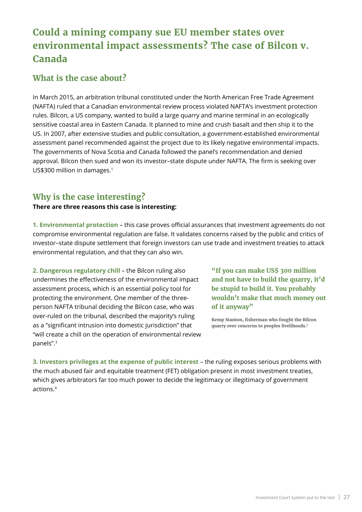# <span id="page-26-0"></span>**Could a mining company sue EU member states over environmental impact assessments? The case of Bilcon v. Canada**

# **What is the case about?**

In March 2015, an arbitration tribunal constituted under the North American Free Trade Agreement (NAFTA) ruled that a Canadian environmental review process violated NAFTA's investment protection rules. Bilcon, a US company, wanted to build a large quarry and marine terminal in an ecologically sensitive coastal area in Eastern Canada. It planned to mine and crush basalt and then ship it to the US. In 2007, after extensive studies and public consultation, a government-established environmental assessment panel recommended against the project due to its likely negative environmental impacts. The governments of Nova Scotia and Canada followed the panel's recommendation and denied approval. Bilcon then sued and won its investor–state dispute under NAFTA. The firm is seeking over US\$300 million in damages.<sup>1</sup>

# **Why is the case interesting?**

### **There are three reasons this case is interesting:**

**1. Environmental protection** – this case proves official assurances that investment agreements do not compromise environmental regulation are false. It validates concerns raised by the public and critics of investor–state dispute settlement that foreign investors can use trade and investment treaties to attack environmental regulation, and that they can also win.

**2. Dangerous regulatory chill** – the Bilcon ruling also undermines the effectiveness of the environmental impact assessment process, which is an essential policy tool for protecting the environment. One member of the threeperson NAFTA tribunal deciding the Bilcon case, who was over-ruled on the tribunal, described the majority's ruling as a "significant intrusion into domestic jurisdiction" that "will create a chill on the operation of environmental review panels".3

**"If you can make US\$ 300 million and not have to build the quarry, it'd be stupid to build it. You probably wouldn't make that much money out of it anyway"**

**Kemp Stanton, fisherman who fought the Bilcon quarry over concerns to peoples livelihoods.2**

**3. Investors privileges at the expense of public interest** – the ruling exposes serious problems with the much abused fair and equitable treatment (FET) obligation present in most investment treaties, which gives arbitrators far too much power to decide the legitimacy or illegitimacy of government actions.4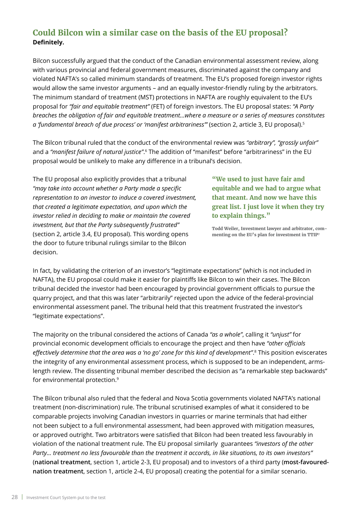# **Could Bilcon win a similar case on the basis of the EU proposal? Definitely.**

Bilcon successfully argued that the conduct of the Canadian environmental assessment review, along with various provincial and federal government measures, discriminated against the company and violated NAFTA's so called minimum standards of treatment. The EU's proposed foreign investor rights would allow the same investor arguments – and an equally investor-friendly ruling by the arbitrators. The minimum standard of treatment (MST) protections in NAFTA are roughly equivalent to the EU's proposal for *"fair and equitable treatment"* (FET) of foreign investors. The EU proposal states: *"A Party breaches the obligation of fair and equitable treatment…where a measure or a series of measures constitutes a 'fundamental breach of due process' or 'manifest arbitrariness'"* (section 2, article 3, EU proposal).5

The Bilcon tribunal ruled that the conduct of the environmental review was *"arbitrary", "grossly unfair"*  and a *"manifest failure of natural justice"*. 6 The addition of "manifest" before "arbitrariness" in the EU proposal would be unlikely to make any difference in a tribunal's decision.

The EU proposal also explicitly provides that a tribunal *"may take into account whether a Party made a specific representation to an investor to induce a covered investment, that created a legitimate expectation, and upon which the investor relied in deciding to make or maintain the covered investment, but that the Party subsequently frustrated"* (section 2, article 3.4, EU proposal). This wording opens the door to future tribunal rulings similar to the Bilcon decision.

**"We used to just have fair and equitable and we had to argue what that meant. And now we have this great list. I just love it when they try to explain things."**

**Todd Weiler, Investment lawyer and arbitrator, commenting on the EU's plan for investment in TTIP7**

In fact, by validating the criterion of an investor's "legitimate expectations" (which is not included in NAFTA), the EU proposal could make it easier for plaintiffs like Bilcon to win their cases. The Bilcon tribunal decided the investor had been encouraged by provincial government officials to pursue the quarry project, and that this was later "arbitrarily" rejected upon the advice of the federal-provincial environmental assessment panel. The tribunal held that this treatment frustrated the investor's "legitimate expectations".

The majority on the tribunal considered the actions of Canada *"as a whole"*, calling it *"unjust"* for provincial economic development officials to encourage the project and then have *"other officials effectively determine that the area was a 'no go' zone for this kind of development"*. 8 This position eviscerates the integrity of any environmental assessment process, which is supposed to be an independent, armslength review. The dissenting tribunal member described the decision as "a remarkable step backwards" for environmental protection.9

The Bilcon tribunal also ruled that the federal and Nova Scotia governments violated NAFTA's national treatment (non-discrimination) rule. The tribunal scrutinised examples of what it considered to be comparable projects involving Canadian investors in quarries or marine terminals that had either not been subject to a full environmental assessment, had been approved with mitigation measures, or approved outright. Two arbitrators were satisfied that Bilcon had been treated less favourably in violation of the national treatment rule. The EU proposal similarly guarantees *"investors of the other Party... treatment no less favourable than the treatment it accords, in like situations, to its own investors"*  (**national treatment**, section 1, article 2-3, EU proposal) and to investors of a third party (**most-favourednation treatment**, section 1, article 2-4, EU proposal) creating the potential for a similar scenario.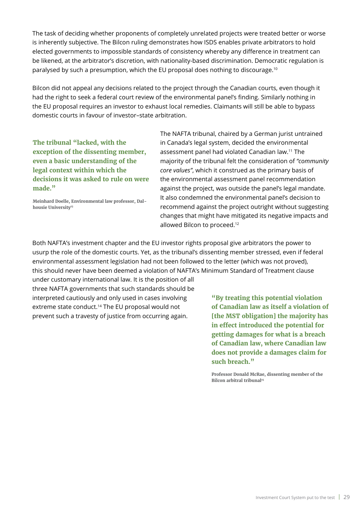The task of deciding whether proponents of completely unrelated projects were treated better or worse is inherently subjective. The Bilcon ruling demonstrates how ISDS enables private arbitrators to hold elected governments to impossible standards of consistency whereby any difference in treatment can be likened, at the arbitrator's discretion, with nationality-based discrimination. Democratic regulation is paralysed by such a presumption, which the EU proposal does nothing to discourage.10

Bilcon did not appeal any decisions related to the project through the Canadian courts, even though it had the right to seek a federal court review of the environmental panel's finding. Similarly nothing in the EU proposal requires an investor to exhaust local remedies. Claimants will still be able to bypass domestic courts in favour of investor–state arbitration.

**The tribunal "lacked, with the exception of the dissenting member, even a basic understanding of the legal context within which the decisions it was asked to rule on were made."** 

**Meinhard Doelle, Environmental law professor, Dalhousie University13** 

The NAFTA tribunal, chaired by a German jurist untrained in Canada's legal system, decided the environmental assessment panel had violated Canadian law.11 The majority of the tribunal felt the consideration of *"community core values"*, which it construed as the primary basis of the environmental assessment panel recommendation against the project, was outside the panel's legal mandate. It also condemned the environmental panel's decision to recommend against the project outright without suggesting changes that might have mitigated its negative impacts and allowed Bilcon to proceed.<sup>12</sup>

Both NAFTA's investment chapter and the EU investor rights proposal give arbitrators the power to usurp the role of the domestic courts. Yet, as the tribunal's dissenting member stressed, even if federal environmental assessment legislation had not been followed to the letter (which was not proved), this should never have been deemed a violation of NAFTA's Minimum Standard of Treatment clause

under customary international law. It is the position of all three NAFTA governments that such standards should be interpreted cautiously and only used in cases involving extreme state conduct.<sup>14</sup> The EU proposal would not prevent such a travesty of justice from occurring again.

**"By treating this potential violation of Canadian law as itself a violation of [the MST obligation] the majority has in effect introduced the potential for getting damages for what is a breach of Canadian law, where Canadian law does not provide a damages claim for such breach."** 

**Professor Donald McRae, dissenting member of the Bilcon arbitral tribunal<sup>15</sup>**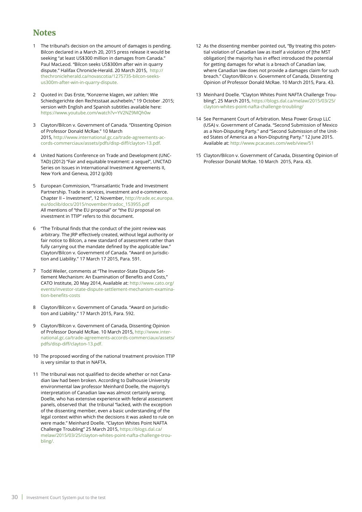# **Notes**

- The tribunal's decision on the amount of damages is pending. Bilcon declared in a March 20, 2015 press release it would be seeking "at least US\$300 million in damages from Canada." Paul MacLeod. "Bilcon seeks US\$300m after win in quarry dispute." Halifax Chronicle-Herald. 20 March 2015, [http://](http://thechronicleherald.ca/novascotia/1275735-bilcon-seeks-us300m-after-win-in-quarry-dispute) [thechronicleherald.ca/novascotia/1275735-bilcon-seeks](http://thechronicleherald.ca/novascotia/1275735-bilcon-seeks-us300m-after-win-in-quarry-dispute)[us300m-after-win-in-quarry-dispute](http://thechronicleherald.ca/novascotia/1275735-bilcon-seeks-us300m-after-win-in-quarry-dispute). 1
- Quoted in: Das Erste, "Konzerne klagen, wir zahlen: Wie Schiedsgerichte den Rechtsstaat aushebeln," 19 October .2015; version with English and Spanish subtitles available here: <https://www.youtube.com/watch?v=YV2NZ9MQh0w>  $\mathcal{L}$
- Clayton/Bilcon v. Government of Canada. "Dissenting Opinion 3 of Professor Donald McRae." 10 March 2015, [http://www.international.gc.ca/trade-agreements-ac](http://www.international.gc.ca/trade-agreements-accords-commerciaux/assets/pdfs/disp-diff/clayton-13.pdf)[cords-commerciaux/assets/pdfs/disp-diff/clayton-13.pdf](http://www.international.gc.ca/trade-agreements-accords-commerciaux/assets/pdfs/disp-diff/clayton-13.pdf).
- United Nations Conference on Trade and Development (UNC-4 TAD) (2012) "Fair and equitable treatment: a sequel", UNCTAD Series on Issues in International Investment Agreements II, New York and Geneva, 2012 (p30)
- 5 European Commission, "Transatlantic Trade and Investment Partnership. Trade in services, investment and e-commerce. Chapter II – Investment", 12 November, [http://trade.ec.europa.](http://trade.ec.europa.eu/doclib/docs/2015/november/tradoc_153955.pdf) [eu/doclib/docs/2015/november/tradoc\\_153955.pdf](http://trade.ec.europa.eu/doclib/docs/2015/november/tradoc_153955.pdf)  All mentions of "the EU proposal" or "the EU proposal on investment in TTIP" refers to this document.
- "The Tribunal finds that the conduct of the joint review was 6 arbitrary. The JRP effectively created, without legal authority or fair notice to Bilcon, a new standard of assessment rather than fully carrying out the mandate defined by the applicable law." Clayton/Bilcon v. Government of Canada. "Award on Jurisdiction and Liability." 17 March 17 2015, Para. 591.
- Todd Weiler, comments at "The Investor-State Dispute Set-7 tlement Mechanism: An Examination of Benefits and Costs," CATO Institute, 20 May 2014, Available at: [http://www.cato.org/](http://www.cato.org/events/investor-state-dispute-settlement-mechanism-examination-benefits-costs) [events/investor-state-dispute-settlement-mechanism-examina](http://www.cato.org/events/investor-state-dispute-settlement-mechanism-examination-benefits-costs)[tion-benefits-costs](http://www.cato.org/events/investor-state-dispute-settlement-mechanism-examination-benefits-costs)
- Clayton/Bilcon v. Government of Canada. "Award on Jurisdic-8 tion and Liability." 17 March 2015, Para. 592.
- Clayton/Bilcon v. Government of Canada, Dissenting Opinion 9 of Professor Donald McRae. 10 March 2015, [http://www.inter](http://www.international.gc.ca/trade-agreements-accords-commerciaux/assets/pdfs/disp-diff/clayton-13.pdf)[national.gc.ca/trade-agreements-accords-commerciaux/assets/](http://www.international.gc.ca/trade-agreements-accords-commerciaux/assets/pdfs/disp-diff/clayton-13.pdf) [pdfs/disp-diff/clayton-13.pdf.](http://www.international.gc.ca/trade-agreements-accords-commerciaux/assets/pdfs/disp-diff/clayton-13.pdf)
- 10 The proposed wording of the national treatment provision TTIP is very similar to that in NAFTA.
- 11 The tribunal was not qualified to decide whether or not Canadian law had been broken. According to Dalhousie University environmental law professor Meinhard Doelle, the majority's interpretation of Canadian law was almost certainly wrong. Doelle, who has extensive experience with federal assessment panels, observed that the tribunal "lacked, with the exception of the dissenting member, even a basic understanding of the legal context within which the decisions it was asked to rule on were made." Meinhard Doelle. "Clayton Whites Point NAFTA Challenge Troubling" 25 March 2015, [https://blogs.dal.ca/](https://blogs.dal.ca/melaw/2015/03/25/clayton-whites-point-nafta-challenge-troubling/) [melaw/2015/03/25/clayton-whites-point-nafta-challenge-trou](https://blogs.dal.ca/melaw/2015/03/25/clayton-whites-point-nafta-challenge-troubling/)[bling/](https://blogs.dal.ca/melaw/2015/03/25/clayton-whites-point-nafta-challenge-troubling/).
- 12 As the dissenting member pointed out, "By treating this potential violation of Canadian law as itself a violation of [the MST obligation] the majority has in effect introduced the potential for getting damages for what is a breach of Canadian law, where Canadian law does not provide a damages claim for such breach." Clayton/Bilcon v. Government of Canada, Dissenting Opinion of Professor Donald McRae. 10 March 2015, Para. 43.
- 13 Meinhard Doelle. "Clayton Whites Point NAFTA Challenge Troubling", 25 March 2015, [https://blogs.dal.ca/melaw/2015/03/25/](https://blogs.dal.ca/melaw/2015/03/25/clayton-whites-point-nafta-challenge-troubling/) [clayton](https://blogs.dal.ca/melaw/2015/03/25/clayton-whites-point-nafta-challenge-troubling/)-whites-point-nafta-challenge-troubling/
- 14 See Permanent Court of Arbitration. Mesa Power Group LLC (USA) v. Government of Canada. "Second Submission of Mexico as a Non-Disputing Party." and "Second Submission of the United States of America as a Non-Disputing Party." 12 June 2015. Available at:<http://www.pcacases.com/web/view/51>
- 15 Clayton/Bilcon v. Government of Canada, Dissenting Opinion of Professor Donald McRae. 10 March 2015, Para. 43.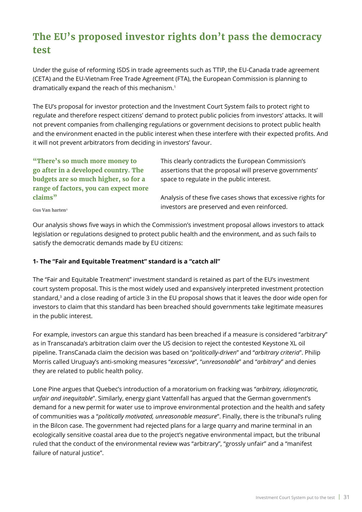# <span id="page-30-0"></span>**The EU's proposed investor rights don't pass the democracy test**

Under the guise of reforming ISDS in trade agreements such as TTIP, the EU-Canada trade agreement (CETA) and the EU-Vietnam Free Trade Agreement (FTA), the European Commission is planning to dramatically expand the reach of this mechanism.1

The EU's proposal for investor protection and the Investment Court System fails to protect right to regulate and therefore respect citizens' demand to protect public policies from investors' attacks. It will not prevent companies from challenging regulations or government decisions to protect public health and the environment enacted in the public interest when these interfere with their expected profits. And it will not prevent arbitrators from deciding in investors' favour.

**"There's so much more money to go after in a developed country. The budgets are so much higher, so for a range of factors, you can expect more claims"**

This clearly contradicts the European Commission's assertions that the proposal will preserve governments' space to regulate in the public interest.

Analysis of these five cases shows that excessive rights for investors are preserved and even reinforced.

**Gus Van harten2**

Our analysis shows five ways in which the Commission's investment proposal allows investors to attack legislation or regulations designed to protect public health and the environment, and as such fails to satisfy the democratic demands made by EU citizens:

### **1- The "Fair and Equitable Treatment" standard is a "catch all"**

The "Fair and Equitable Treatment" investment standard is retained as part of the EU's investment court system proposal. This is the most widely used and expansively interpreted investment protection standard,<sup>3</sup> and a close reading of article 3 in the EU proposal shows that it leaves the door wide open for investors to claim that this standard has been breached should governments take legitimate measures in the public interest.

For example, investors can argue this standard has been breached if a measure is considered "arbitrary" as in Transcanada's arbitration claim over the US decision to reject the contested Keystone XL oil pipeline. TransCanada claim the decision was based on "*politically-driven*" and "*arbitrary criteria*". Philip Morris called Uruguay's anti-smoking measures "*excessive*", "*unreasonable*" and "*arbitrary*" and denies they are related to public health policy.

Lone Pine argues that Quebec's introduction of a moratorium on fracking was "*arbitrary, idiosyncratic, unfair and inequitable*". Similarly, energy giant Vattenfall has argued that the German government's demand for a new permit for water use to improve environmental protection and the health and safety of communities was a "*politically motivated, unreasonable measure*". Finally, there is the tribunal's ruling in the Bilcon case. The government had rejected plans for a large quarry and marine terminal in an ecologically sensitive coastal area due to the project's negative environmental impact, but the tribunal ruled that the conduct of the environmental review was "arbitrary", "grossly unfair" and a "manifest failure of natural justice".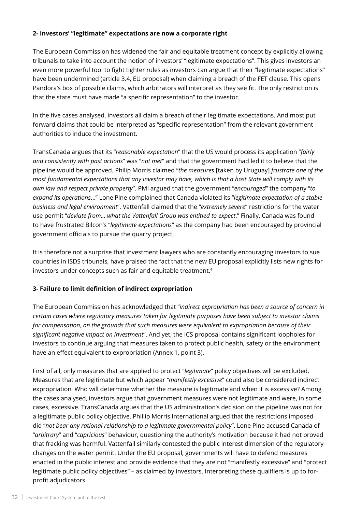### **2- Investors' "legitimate" expectations are now a corporate right**

The European Commission has widened the fair and equitable treatment concept by explicitly allowing tribunals to take into account the notion of investors' "legitimate expectations". This gives investors an even more powerful tool to fight tighter rules as investors can argue that their "legitimate expectations" have been undermined (article 3.4, EU proposal) when claiming a breach of the FET clause. This opens Pandora's box of possible claims, which arbitrators will interpret as they see fit. The only restriction is that the state must have made "a specific representation" to the investor.

In the five cases analysed, investors all claim a breach of their legitimate expectations. And most put forward claims that could be interpreted as "specific representation" from the relevant government authorities to induce the investment.

TransCanada argues that its "*reasonable expectation*" that the US would process its application "*fairly and consistently with past actions*" was "*not met*" and that the government had led it to believe that the pipeline would be approved. Philip Morris claimed "*the measures* [taken by Uruguay] *frustrate one of the most fundamental expectations that any investor may have, which is that a host State will comply with its own law and respect private property*". PMI argued that the government "*encouraged*" the company "*to expand its operations*…" Lone Pine complained that Canada violated its "*legitimate expectation of a stable business and legal environment*". Vattenfall claimed that the "*extremely severe*" restrictions for the water use permit "*deviate from... what the Vattenfall Group was entitled to expect*." Finally, Canada was found to have frustrated Bilcon's "*legitimate expectations*" as the company had been encouraged by provincial government officials to pursue the quarry project.

It is therefore not a surprise that investment lawyers who are constantly encouraging investors to sue countries in ISDS tribunals, have praised the fact that the new EU proposal explicitly lists new rights for investors under concepts such as fair and equitable treatment.<sup>4</sup>

### **3- Failure to limit definition of indirect expropriation**

The European Commission has acknowledged that "*indirect expropriation has been a source of concern in certain cases where regulatory measures taken for legitimate purposes have been subject to investor claims for compensation, on the grounds that such measures were equivalent to expropriation because of their significant negative impact on investment*". And yet, the ICS proposal contains significant loopholes for investors to continue arguing that measures taken to protect public health, safety or the environment have an effect equivalent to expropriation (Annex 1, point 3).

First of all, only measures that are applied to protect "*legitimate*" policy objectives will be excluded. Measures that are legitimate but which appear *"manifestly excessive*" could also be considered indirect expropriation*.* Who will determine whether the measure is legitimate and when it is excessive? Among the cases analysed, investors argue that government measures were not legitimate and were, in some cases, excessive. TransCanada argues that the US administration's decision on the pipeline was not for a legitimate public policy objective. Phillip Morris International argued that the restrictions imposed did "*not bear any rational relationship to a legitimate governmental policy*". Lone Pine accused Canada of "*arbitrary*" and "*capricious*" behaviour, questioning the authority's motivation because it had not proved that fracking was harmful. Vattenfall similarly contested the public interest dimension of the regulatory changes on the water permit. Under the EU proposal, governments will have to defend measures enacted in the public interest and provide evidence that they are not "manifestly excessive" and "protect legitimate public policy objectives" – as claimed by investors. Interpreting these qualifiers is up to forprofit adjudicators.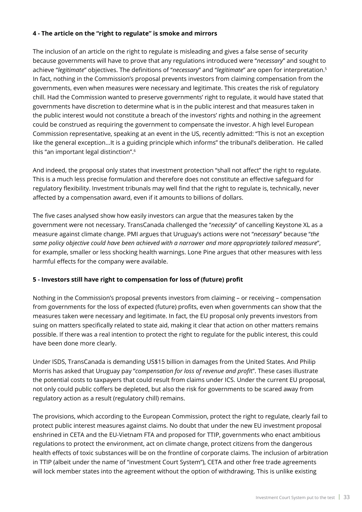### **4 - The article on the "right to regulate" is smoke and mirrors**

The inclusion of an article on the right to regulate is misleading and gives a false sense of security because governments will have to prove that any regulations introduced were "*necessary*" and sought to achieve "*legitimate*" objectives. The definitions of "*necessary*" and "*legitimate*" are open for interpretation.5 In fact, nothing in the Commission's proposal prevents investors from claiming compensation from the governments, even when measures were necessary and legitimate. This creates the risk of regulatory chill. Had the Commission wanted to preserve governments' right to regulate, it would have stated that governments have discretion to determine what is in the public interest and that measures taken in the public interest would not constitute a breach of the investors' rights and nothing in the agreement could be construed as requiring the government to compensate the investor. A high level European Commission representative, speaking at an event in the US, recently admitted: "This is not an exception like the general exception...It is a guiding principle which informs" the tribunal's deliberation. He called this "an important legal distinction".6

And indeed, the proposal only states that investment protection "shall not affect" the right to regulate. This is a much less precise formulation and therefore does not constitute an effective safeguard for regulatory flexibility. Investment tribunals may well find that the right to regulate is, technically, never affected by a compensation award, even if it amounts to billions of dollars.

The five cases analysed show how easily investors can argue that the measures taken by the government were not necessary. TransCanada challenged the "*necessity*" of cancelling Keystone XL as a measure against climate change. PMI argues that Uruguay's actions were not "*necessary*" because "*the same policy objective could have been achieved with a narrower and more appropriately tailored measure*", for example, smaller or less shocking health warnings. Lone Pine argues that other measures with less harmful effects for the company were available.

### **5 - Investors still have right to compensation for loss of (future) profit**

Nothing in the Commission's proposal prevents investors from claiming – or receiving – compensation from governments for the loss of expected (future) profits, even when governments can show that the measures taken were necessary and legitimate. In fact, the EU proposal only prevents investors from suing on matters specifically related to state aid, making it clear that action on other matters remains possible. If there was a real intention to protect the right to regulate for the public interest, this could have been done more clearly.

Under ISDS, TransCanada is demanding US\$15 billion in damages from the United States. And Philip Morris has asked that Uruguay pay "*compensation for loss of revenue and profi*t". These cases illustrate the potential costs to taxpayers that could result from claims under ICS. Under the current EU proposal, not only could public coffers be depleted, but also the risk for governments to be scared away from regulatory action as a result (regulatory chill) remains.

The provisions, which according to the European Commission, protect the right to regulate, clearly fail to protect public interest measures against claims. No doubt that under the new EU investment proposal enshrined in CETA and the EU-Vietnam FTA and proposed for TTIP, governments who enact ambitious regulations to protect the environment, act on climate change, protect citizens from the dangerous health effects of toxic substances will be on the frontline of corporate claims. The inclusion of arbitration in TTIP (albeit under the name of "investment Court System"), CETA and other free trade agreements will lock member states into the agreement without the option of withdrawing. This is unlike existing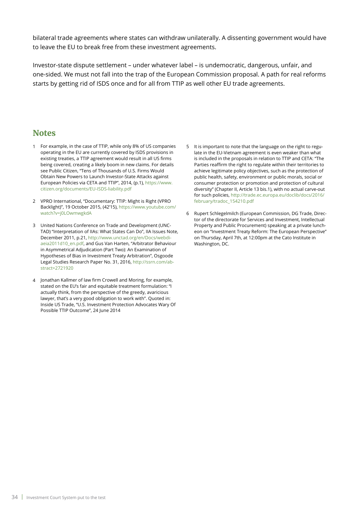bilateral trade agreements where states can withdraw unilaterally. A dissenting government would have to leave the EU to break free from these investment agreements.

Investor-state dispute settlement – under whatever label – is undemocratic, dangerous, unfair, and one-sided. We must not fall into the trap of the European Commission proposal. A path for real reforms starts by getting rid of ISDS once and for all from TTIP as well other EU trade agreements.

### **Notes**

- For example, in the case of TTIP, while only 8% of US companies 1 operating in the EU are currently covered by ISDS provisions in existing treaties, a TTIP agreement would result in all US firms being covered, creating a likely boom in new claims. For details see Public Citizen, "Tens of Thousands of U.S. Firms Would Obtain New Powers to Launch Investor-State Attacks against European Policies via CETA and TTIP", 2014, (p.1), [https://www.](https://www.citizen.org/documents/EU-ISDS-liability.pdf) [citizen.org/documents/EU-ISDS-liability.pdf](https://www.citizen.org/documents/EU-ISDS-liability.pdf)
- VPRO International, "Documentary: TTIP: Might is Right (VPRO 2 Backlight)", 19 October 2015, (42'15), [https://www.youtube.com/](https://www.youtube.com/watch?v=j0LOwmwgkdA) [watch?v=j0LOwmwgkdA](https://www.youtube.com/watch?v=j0LOwmwgkdA)
- United Nations Conference on Trade and Development (UNC-3 TAD) "Interpretation of IIAs: What States Can Do", IIA Issues Note, December 2011, p.21, [http://www.unctad.org/en/Docs/webdi](http://www.unctad.org/en/Docs/webdiaeia2011d10_en.pdf)[aeia2011d10\\_en.pdf](http://www.unctad.org/en/Docs/webdiaeia2011d10_en.pdf), and Gus Van Harten, "Arbitrator Behaviour in Asymmetrical Adjudication (Part Two): An Examination of Hypotheses of Bias in Investment Treaty Arbitration", Osgoode Legal Studies Research Paper No. 31, 2016, [http://ssrn.com/ab](http://papers.ssrn.com/sol3/papers.cfm?abstract_id=2721920)[stract](http://papers.ssrn.com/sol3/papers.cfm?abstract_id=2721920)=2721920
- Jonathan Kallmer of law firm Crowell and Moring, for example, 4 stated on the EU's fair and equitable treatment formulation: "I actually think, from the perspective of the greedy, avaricious lawyer, that's a very good obligation to work with". Quoted in: Inside US Trade, "U.S. Investment Protection Advocates Wary Of Possible TTIP Outcome", 24 June 2014
- 5 It is important to note that the language on the right to regulate in the EU-Vietnam agreement is even weaker than what is included in the proposals in relation to TTIP and CETA: "The Parties reaffirm the right to regulate within their territories to achieve legitimate policy objectives, such as the protection of public health, safety, environment or public morals, social or consumer protection or promotion and protection of cultural diversity" (Chapter II, Article 13 bis.1), with no actual carve-out for such policies, [http://trade.ec.europa.eu/doclib/docs/2016/](http://trade.ec.europa.eu/doclib/docs/2016/february/tradoc_154210.pdf) [february/tradoc\\_154210.pdf](http://trade.ec.europa.eu/doclib/docs/2016/february/tradoc_154210.pdf)
- 6 Rupert Schlegelmilch (European Commission, DG Trade, Director of the directorate for Services and Investment, Intellectual Property and Public Procurement) speaking at a private luncheon on "Investment Treaty Reform: The European Perspective" on Thursday, April 7th, at 12:00pm at the Cato Institute in Washington, DC.